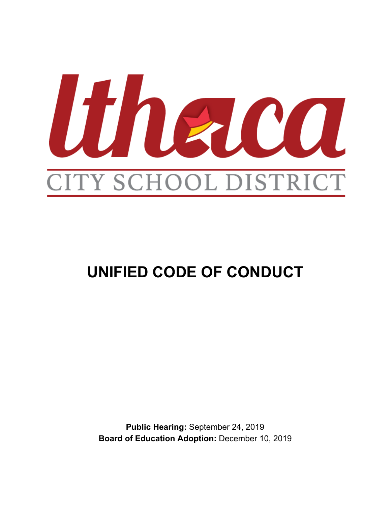

# **UNIFIED CODE OF CONDUCT**

**Public Hearing:** September 24, 2019 **Board of Education Adoption:** December 10, 2019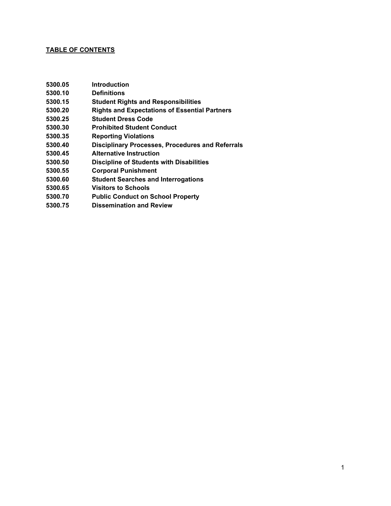#### **TABLE OF CONTENTS**

- **5300.05 Introduction**
- **5300.10 Definitions**
- **5300.15 Student Rights and Responsibilities**
- **5300.20 Rights and Expectations of Essential Partners**
- **5300.25 Student Dress Code**
- **5300.30 Prohibited Student Conduct**
- **5300.35 Reporting Violations**
- **5300.40 Disciplinary Processes, Procedures and Referrals**
- **5300.45 Alternative Instruction**
- **5300.50 Discipline of Students with Disabilities**
- **5300.55 Corporal Punishment**
- **5300.60 Student Searches and Interrogations**
- **5300.65 Visitors to Schools**
- **5300.70 Public Conduct on School Property**
- **5300.75 Dissemination and Review**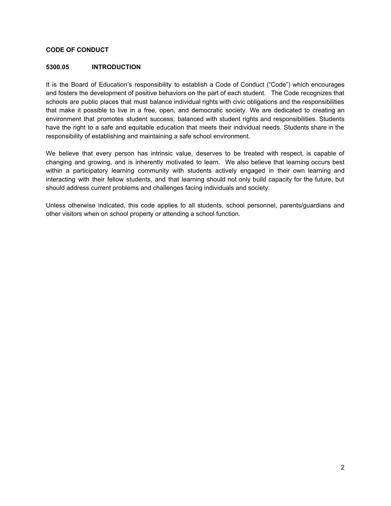#### **CODE OF CONDUCT**

#### **5300.05 INTRODUCTION**

It is the Board of Education's responsibility to establish a Code of Conduct ("Code") which encourages and fosters the development of positive behaviors on the part of each student. The Code recognizes that schools are public places that must balance individual rights with civic obligations and the responsibilities that make it possible to live in a free, open, and democratic society. We are dedicated to creating an environment that promotes student success, balanced with student rights and responsibilities. Students have the right to a safe and equitable education that meets their individual needs. Students share in the responsibility of establishing and maintaining a safe school environment.

We believe that every person has intrinsic value, deserves to be treated with respect, is capable of changing and growing, and is inherently motivated to learn. We also believe that learning occurs best within a participatory learning community with students actively engaged in their own learning and interacting with their fellow students, and that learning should not only build capacity for the future, but should address current problems and challenges facing individuals and society.

Unless otherwise indicated, this code applies to all students, school personnel, parents/guardians and other visitors when on school property or attending a school function.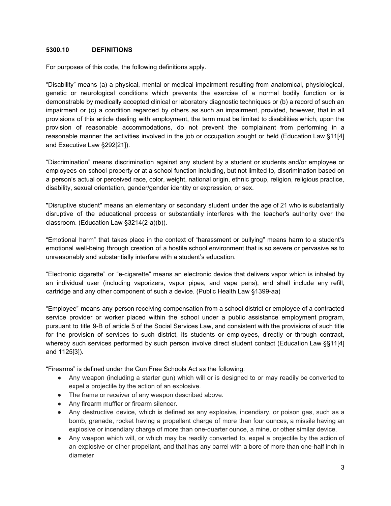#### **5300.10 DEFINITIONS**

For purposes of this code, the following definitions apply.

"Disability" means (a) a physical, mental or medical impairment resulting from anatomical, physiological, genetic or neurological conditions which prevents the exercise of a normal bodily function or is demonstrable by medically accepted clinical or laboratory diagnostic techniques or (b) a record of such an impairment or (c) a condition regarded by others as such an impairment, provided, however, that in all provisions of this article dealing with employment, the term must be limited to disabilities which, upon the provision of reasonable accommodations, do not prevent the complainant from performing in a reasonable manner the activities involved in the job or occupation sought or held (Education Law §11[4] and Executive Law §292[21]).

"Discrimination" means discrimination against any student by a student or students and/or employee or employees on school property or at a school function including, but not limited to, discrimination based on a person's actual or perceived race, color, weight, national origin, ethnic group, religion, religious practice, disability, sexual orientation, gender/gender identity or expression, or sex.

"Disruptive student" means an elementary or secondary student under the age of 21 who is substantially disruptive of the educational process or substantially interferes with the teacher's authority over the classroom. (Education Law §3214(2-a)(b)).

"Emotional harm" that takes place in the context of "harassment or bullying" means harm to a student's emotional well-being through creation of a hostile school environment that is so severe or pervasive as to unreasonably and substantially interfere with a student's education.

"Electronic cigarette" or "e-cigarette" means an electronic device that delivers vapor which is inhaled by an individual user (including vaporizers, vapor pipes, and vape pens), and shall include any refill, cartridge and any other component of such a device. (Public Health Law §1399-aa)

"Employee" means any person receiving compensation from a school district or employee of a contracted service provider or worker placed within the school under a public assistance employment program, pursuant to title 9-B of article 5 of the Social Services Law, and consistent with the provisions of such title for the provision of services to such district, its students or employees, directly or through contract, whereby such services performed by such person involve direct student contact (Education Law §§11[4] and 1125[3]).

"Firearms" is defined under the Gun Free Schools Act as the following:

- Any weapon (including a starter gun) which will or is designed to or may readily be converted to expel a projectile by the action of an explosive.
- The frame or receiver of any weapon described above.
- Any firearm muffler or firearm silencer.
- Any destructive device, which is defined as any explosive, incendiary, or poison gas, such as a bomb, grenade, rocket having a propellant charge of more than four ounces, a missile having an explosive or incendiary charge of more than one-quarter ounce, a mine, or other similar device.
- Any weapon which will, or which may be readily converted to, expel a projectile by the action of an explosive or other propellant, and that has any barrel with a bore of more than one-half inch in diameter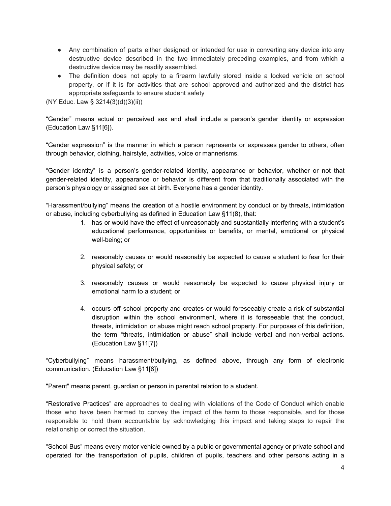- Any combination of parts either designed or intended for use in converting any device into any destructive device described in the two immediately preceding examples, and from which a destructive device may be readily assembled.
- The definition does not apply to a firearm lawfully stored inside a locked vehicle on school property, or if it is for activities that are school approved and authorized and the district has appropriate safeguards to ensure student safety

(NY Educ. Law § 3214(3)(d)(3)(ii))

"Gender" means actual or perceived sex and shall include a person's gender identity or expression (Education Law §11[6]).

"Gender expression" is the manner in which a person represents or expresses gender to others, often through behavior, clothing, hairstyle, activities, voice or mannerisms.

"Gender identity" is a person's gender-related identity, appearance or behavior, whether or not that gender-related identity, appearance or behavior is different from that traditionally associated with the person's physiology or assigned sex at birth. Everyone has a gender identity.

"Harassment/bullying" means the creation of a hostile environment by conduct or by threats, intimidation or abuse, including cyberbullying as defined in Education Law §11(8), that:

- 1. has or would have the effect of unreasonably and substantially interfering with a student's educational performance, opportunities or benefits, or mental, emotional or physical well-being; or
- 2. reasonably causes or would reasonably be expected to cause a student to fear for their physical safety; or
- 3. reasonably causes or would reasonably be expected to cause physical injury or emotional harm to a student; or
- 4. occurs off school property and creates or would foreseeably create a risk of substantial disruption within the school environment, where it is foreseeable that the conduct, threats, intimidation or abuse might reach school property. For purposes of this definition, the term "threats, intimidation or abuse" shall include verbal and non-verbal actions. (Education Law §11[7])

"Cyberbullying" means harassment/bullying, as defined above, through any form of electronic communication. (Education Law §11[8])

"Parent" means parent, guardian or person in parental relation to a student.

"Restorative Practices" are approaches to dealing with violations of the Code of Conduct which enable those who have been harmed to convey the impact of the harm to those responsible, and for those responsible to hold them accountable by acknowledging this impact and taking steps to repair the relationship or correct the situation.

"School Bus" means every motor vehicle owned by a public or governmental agency or private school and operated for the transportation of pupils, children of pupils, teachers and other persons acting in a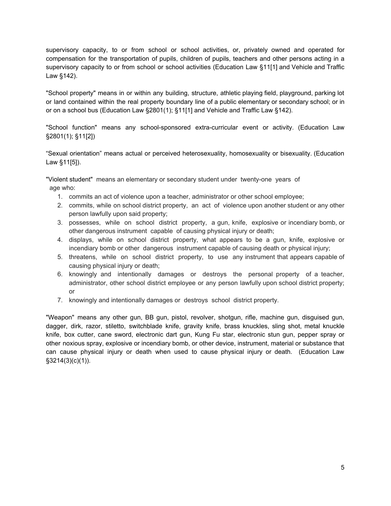supervisory capacity, to or from school or school activities, or, privately owned and operated for compensation for the transportation of pupils, children of pupils, teachers and other persons acting in a supervisory capacity to or from school or school activities (Education Law §11[1] and Vehicle and Traffic Law §142).

"School property" means in or within any building, structure, athletic playing field, playground, parking lot or land contained within the real property boundary line of a public elementary or secondary school; or in or on a school bus (Education Law §2801(1); §11[1] and Vehicle and Traffic Law §142).

"School function" means any school-sponsored extra-curricular event or activity. (Education Law §2801(1); §11[2])

"Sexual orientation" means actual or perceived heterosexuality, homosexuality or bisexuality. (Education Law §11[5]).

"Violent student" means an elementary or secondary student under twenty-one years of age who:

- 1. commits an act of violence upon a teacher, administrator or other school employee;
- 2. commits, while on school district property, an act of violence upon another student or any other person lawfully upon said property;
- 3. possesses, while on school district property, a gun, knife, explosive or incendiary bomb, or other dangerous instrument capable of causing physical injury or death;
- 4. displays, while on school district property, what appears to be a gun, knife, explosive or incendiary bomb or other dangerous instrument capable of causing death or physical injury;
- 5. threatens, while on school district property, to use any instrument that appears capable of causing physical injury or death;
- 6. knowingly and intentionally damages or destroys the personal property of a teacher, administrator, other school district employee or any person lawfully upon school district property; or
- 7. knowingly and intentionally damages or destroys school district property.

"Weapon" means any other gun, BB gun, pistol, revolver, shotgun, rifle, machine gun, disguised gun, dagger, dirk, razor, stiletto, switchblade knife, gravity knife, brass knuckles, sling shot, metal knuckle knife, box cutter, cane sword, electronic dart gun, Kung Fu star, electronic stun gun, pepper spray or other noxious spray, explosive or incendiary bomb, or other device, instrument, material or substance that can cause physical injury or death when used to cause physical injury or death. (Education Law §3214(3)(c)(1)).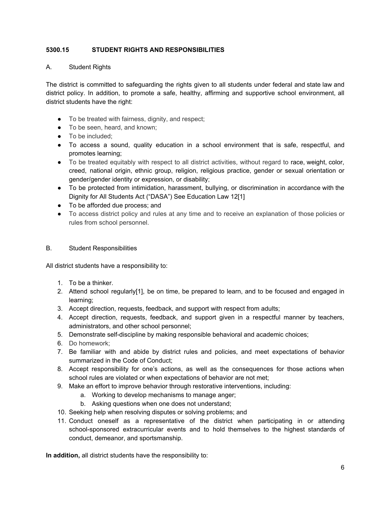# **5300.15 STUDENT RIGHTS AND RESPONSIBILITIES**

# A. Student Rights

The district is committed to safeguarding the rights given to all students under federal and state law and district policy. In addition, to promote a safe, healthy, affirming and supportive school environment, all district students have the right:

- To be treated with fairness, dignity, and respect;
- To be seen, heard, and known;
- To be included:
- To access a sound, quality education in a school environment that is safe, respectful, and promotes learning;
- To be treated equitably with respect to all district activities, without regard to race, weight, color, creed, national origin, ethnic group, religion, religious practice, gender or sexual orientation or gender/gender identity or expression, or disability;
- To be protected from intimidation, harassment, bullying, or discrimination in accordance with the Dignity for All Students Act ("DASA") See Education Law 12[1]
- To be afforded due process; and
- To access district policy and rules at any time and to receive an explanation of those policies or rules from school personnel.

## B. Student Responsibilities

All district students have a responsibility to:

- 1. To be a thinker.
- 2. Attend school regularly[1], be on time, be prepared to learn, and to be focused and engaged in learning;
- 3. Accept direction, requests, feedback, and support with respect from adults;
- 4. Accept direction, requests, feedback, and support given in a respectful manner by teachers, administrators, and other school personnel;
- 5. Demonstrate self-discipline by making responsible behavioral and academic choices;
- 6. Do homework;
- 7. Be familiar with and abide by district rules and policies, and meet expectations of behavior summarized in the Code of Conduct;
- 8. Accept responsibility for one's actions, as well as the consequences for those actions when school rules are violated or when expectations of behavior are not met;
- 9. Make an effort to improve behavior through restorative interventions, including:
	- a. Working to develop mechanisms to manage anger;
	- b. Asking questions when one does not understand;
- 10. Seeking help when resolving disputes or solving problems; and
- 11. Conduct oneself as a representative of the district when participating in or attending school-sponsored extracurricular events and to hold themselves to the highest standards of conduct, demeanor, and sportsmanship.

**In addition,** all district students have the responsibility to: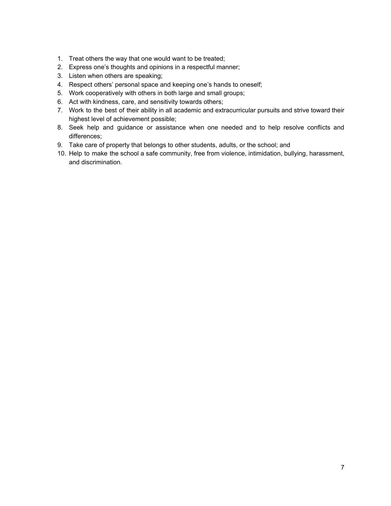- 1. Treat others the way that one would want to be treated;
- 2. Express one's thoughts and opinions in a respectful manner;
- 3. Listen when others are speaking;
- 4. Respect others' personal space and keeping one's hands to oneself;
- 5. Work cooperatively with others in both large and small groups;
- 6. Act with kindness, care, and sensitivity towards others;
- 7. Work to the best of their ability in all academic and extracurricular pursuits and strive toward their highest level of achievement possible;
- 8. Seek help and guidance or assistance when one needed and to help resolve conflicts and differences;
- 9. Take care of property that belongs to other students, adults, or the school; and
- 10. Help to make the school a safe community, free from violence, intimidation, bullying, harassment, and discrimination.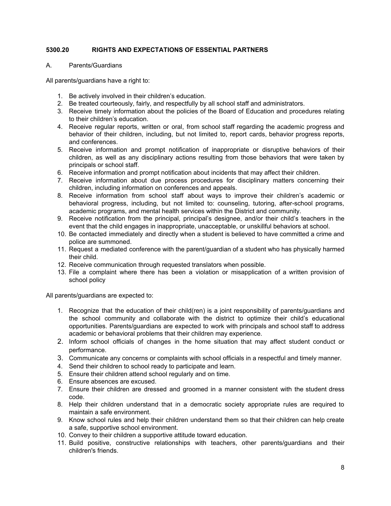# **5300.20 RIGHTS AND EXPECTATIONS OF ESSENTIAL PARTNERS**

A. Parents/Guardians

All parents/guardians have a right to:

- 1. Be actively involved in their children's education.
- 2. Be treated courteously, fairly, and respectfully by all school staff and administrators.
- 3. Receive timely information about the policies of the Board of Education and procedures relating to their children's education.
- 4. Receive regular reports, written or oral, from school staff regarding the academic progress and behavior of their children, including, but not limited to, report cards, behavior progress reports, and conferences.
- 5. Receive information and prompt notification of inappropriate or disruptive behaviors of their children, as well as any disciplinary actions resulting from those behaviors that were taken by principals or school staff.
- 6. Receive information and prompt notification about incidents that may affect their children.
- 7. Receive information about due process procedures for disciplinary matters concerning their children, including information on conferences and appeals.
- 8. Receive information from school staff about ways to improve their children's academic or behavioral progress, including, but not limited to: counseling, tutoring, after-school programs, academic programs, and mental health services within the District and community.
- 9. Receive notification from the principal, principal's designee, and/or their child's teachers in the event that the child engages in inappropriate, unacceptable, or unskillful behaviors at school.
- 10. Be contacted immediately and directly when a student is believed to have committed a crime and police are summoned.
- 11. Request a mediated conference with the parent/guardian of a student who has physically harmed their child.
- 12. Receive communication through requested translators when possible.
- 13. File a complaint where there has been a violation or misapplication of a written provision of school policy

All parents/guardians are expected to:

- 1. Recognize that the education of their child(ren) is a joint responsibility of parents/guardians and the school community and collaborate with the district to optimize their child's educational opportunities. Parents/guardians are expected to work with principals and school staff to address academic or behavioral problems that their children may experience.
- 2. Inform school officials of changes in the home situation that may affect student conduct or performance.
- 3. Communicate any concerns or complaints with school officials in a respectful and timely manner.
- 4. Send their children to school ready to participate and learn.
- 5. Ensure their children attend school regularly and on time.
- 6. Ensure absences are excused.
- 7. Ensure their children are dressed and groomed in a manner consistent with the student dress code.
- 8. Help their children understand that in a democratic society appropriate rules are required to maintain a safe environment.
- 9. Know school rules and help their children understand them so that their children can help create a safe, supportive school environment.
- 10. Convey to their children a supportive attitude toward education.
- 11. Build positive, constructive relationships with teachers, other parents/guardians and their children's friends.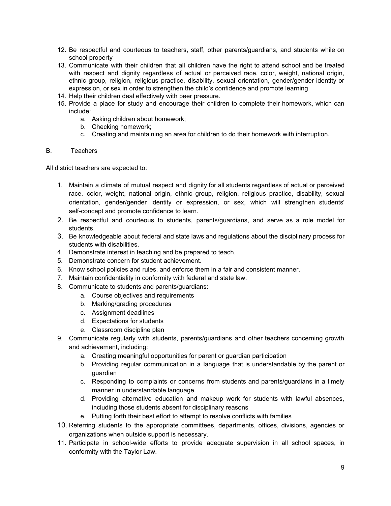- 12. Be respectful and courteous to teachers, staff, other parents/guardians, and students while on school property
- 13. Communicate with their children that all children have the right to attend school and be treated with respect and dignity regardless of actual or perceived race, color, weight, national origin, ethnic group, religion, religious practice, disability, sexual orientation, gender/gender identity or expression, or sex in order to strengthen the child's confidence and promote learning
- 14. Help their children deal effectively with peer pressure.
- 15. Provide a place for study and encourage their children to complete their homework, which can include:
	- a. Asking children about homework;
	- b. Checking homework;
	- c. Creating and maintaining an area for children to do their homework with interruption.

#### B. Teachers

All district teachers are expected to:

- 1. Maintain a climate of mutual respect and dignity for all students regardless of actual or perceived race, color, weight, national origin, ethnic group, religion, religious practice, disability, sexual orientation, gender/gender identity or expression, or sex, which will strengthen students' self-concept and promote confidence to learn.
- 2. Be respectful and courteous to students, parents/guardians, and serve as a role model for students.
- 3. Be knowledgeable about federal and state laws and regulations about the disciplinary process for students with disabilities.
- 4. Demonstrate interest in teaching and be prepared to teach.
- 5. Demonstrate concern for student achievement.
- 6. Know school policies and rules, and enforce them in a fair and consistent manner.
- 7. Maintain confidentiality in conformity with federal and state law.
- 8. Communicate to students and parents/guardians:
	- a. Course objectives and requirements
	- b. Marking/grading procedures
	- c. Assignment deadlines
	- d. Expectations for students
	- e. Classroom discipline plan
- 9. Communicate regularly with students, parents/guardians and other teachers concerning growth and achievement, including:
	- a. Creating meaningful opportunities for parent or guardian participation
	- b. Providing regular communication in a language that is understandable by the parent or guardian
	- c. Responding to complaints or concerns from students and parents/guardians in a timely manner in understandable language
	- d. Providing alternative education and makeup work for students with lawful absences, including those students absent for disciplinary reasons
	- e. Putting forth their best effort to attempt to resolve conflicts with families
- 10. Referring students to the appropriate committees, departments, offices, divisions, agencies or organizations when outside support is necessary.
- 11. Participate in school-wide efforts to provide adequate supervision in all school spaces, in conformity with the Taylor Law.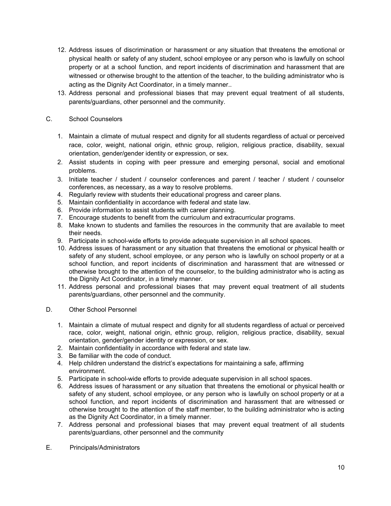- 12. Address issues of discrimination or harassment or any situation that threatens the emotional or physical health or safety of any student, school employee or any person who is lawfully on school property or at a school function, and report incidents of discrimination and harassment that are witnessed or otherwise brought to the attention of the teacher, to the building administrator who is acting as the Dignity Act Coordinator, in a timely manner..
- 13. Address personal and professional biases that may prevent equal treatment of all students, parents/guardians, other personnel and the community.

# C. School Counselors

- 1. Maintain a climate of mutual respect and dignity for all students regardless of actual or perceived race, color, weight, national origin, ethnic group, religion, religious practice, disability, sexual orientation, gender/gender identity or expression, or sex.
- 2. Assist students in coping with peer pressure and emerging personal, social and emotional problems.
- 3. Initiate teacher / student / counselor conferences and parent / teacher / student / counselor conferences, as necessary, as a way to resolve problems.
- 4. Regularly review with students their educational progress and career plans.
- 5. Maintain confidentiality in accordance with federal and state law.
- 6. Provide information to assist students with career planning.
- 7. Encourage students to benefit from the curriculum and extracurricular programs.
- 8. Make known to students and families the resources in the community that are available to meet their needs.
- 9. Participate in school-wide efforts to provide adequate supervision in all school spaces.
- 10. Address issues of harassment or any situation that threatens the emotional or physical health or safety of any student, school employee, or any person who is lawfully on school property or at a school function, and report incidents of discrimination and harassment that are witnessed or otherwise brought to the attention of the counselor, to the building administrator who is acting as the Dignity Act Coordinator, in a timely manner.
- 11. Address personal and professional biases that may prevent equal treatment of all students parents/guardians, other personnel and the community.
- D. Other School Personnel
	- 1. Maintain a climate of mutual respect and dignity for all students regardless of actual or perceived race, color, weight, national origin, ethnic group, religion, religious practice, disability, sexual orientation, gender/gender identity or expression, or sex.
	- 2. Maintain confidentiality in accordance with federal and state law.
	- 3. Be familiar with the code of conduct.
	- 4. Help children understand the district's expectations for maintaining a safe, affirming environment.
	- 5. Participate in school-wide efforts to provide adequate supervision in all school spaces.
	- 6. Address issues of harassment or any situation that threatens the emotional or physical health or safety of any student, school employee, or any person who is lawfully on school property or at a school function, and report incidents of discrimination and harassment that are witnessed or otherwise brought to the attention of the staff member, to the building administrator who is acting as the Dignity Act Coordinator, in a timely manner.
	- 7. Address personal and professional biases that may prevent equal treatment of all students parents/guardians, other personnel and the community
- E. Principals/Administrators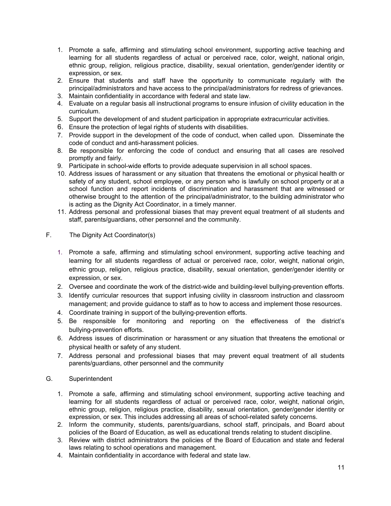- 1. Promote a safe, affirming and stimulating school environment, supporting active teaching and learning for all students regardless of actual or perceived race, color, weight, national origin, ethnic group, religion, religious practice, disability, sexual orientation, gender/gender identity or expression, or sex.
- 2. Ensure that students and staff have the opportunity to communicate regularly with the principal/administrators and have access to the principal/administrators for redress of grievances.
- 3. Maintain confidentiality in accordance with federal and state law.
- 4. Evaluate on a regular basis all instructional programs to ensure infusion of civility education in the curriculum.
- 5. Support the development of and student participation in appropriate extracurricular activities.
- 6. Ensure the protection of legal rights of students with disabilities.
- 7. Provide support in the development of the code of conduct, when called upon. Disseminate the code of conduct and anti-harassment policies.
- 8. Be responsible for enforcing the code of conduct and ensuring that all cases are resolved promptly and fairly.
- 9. Participate in school-wide efforts to provide adequate supervision in all school spaces.
- 10. Address issues of harassment or any situation that threatens the emotional or physical health or safety of any student, school employee, or any person who is lawfully on school property or at a school function and report incidents of discrimination and harassment that are witnessed or otherwise brought to the attention of the principal/administrator, to the building administrator who is acting as the Dignity Act Coordinator, in a timely manner.
- 11. Address personal and professional biases that may prevent equal treatment of all students and staff, parents/guardians, other personnel and the community.
- F. The Dignity Act Coordinator(s)
	- 1. Promote a safe, affirming and stimulating school environment, supporting active teaching and learning for all students regardless of actual or perceived race, color, weight, national origin, ethnic group, religion, religious practice, disability, sexual orientation, gender/gender identity or expression, or sex.
	- 2. Oversee and coordinate the work of the district-wide and building-level bullying-prevention efforts.
	- 3. Identify curricular resources that support infusing civility in classroom instruction and classroom management; and provide guidance to staff as to how to access and implement those resources.
	- 4. Coordinate training in support of the bullying-prevention efforts.
	- 5. Be responsible for monitoring and reporting on the effectiveness of the district's bullying-prevention efforts.
	- 6. Address issues of discrimination or harassment or any situation that threatens the emotional or physical health or safety of any student.
	- 7. Address personal and professional biases that may prevent equal treatment of all students parents/guardians, other personnel and the community

## G. Superintendent

- 1. Promote a safe, affirming and stimulating school environment, supporting active teaching and learning for all students regardless of actual or perceived race, color, weight, national origin, ethnic group, religion, religious practice, disability, sexual orientation, gender/gender identity or expression, or sex. This includes addressing all areas of school-related safety concerns.
- 2. Inform the community, students, parents/guardians, school staff, principals, and Board about policies of the Board of Education, as well as educational trends relating to student discipline.
- 3. Review with district administrators the policies of the Board of Education and state and federal laws relating to school operations and management.
- 4. Maintain confidentiality in accordance with federal and state law.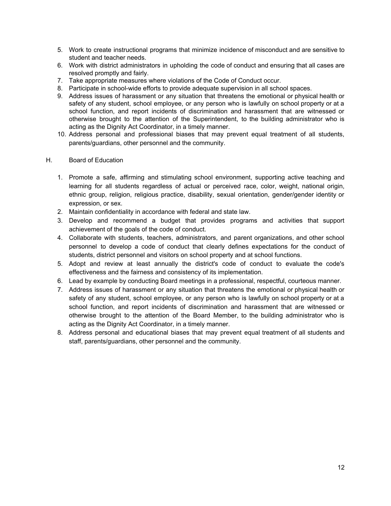- 5. Work to create instructional programs that minimize incidence of misconduct and are sensitive to student and teacher needs.
- 6. Work with district administrators in upholding the code of conduct and ensuring that all cases are resolved promptly and fairly.
- 7. Take appropriate measures where violations of the Code of Conduct occur.
- 8. Participate in school-wide efforts to provide adequate supervision in all school spaces.
- 9. Address issues of harassment or any situation that threatens the emotional or physical health or safety of any student, school employee, or any person who is lawfully on school property or at a school function, and report incidents of discrimination and harassment that are witnessed or otherwise brought to the attention of the Superintendent, to the building administrator who is acting as the Dignity Act Coordinator, in a timely manner.
- 10. Address personal and professional biases that may prevent equal treatment of all students, parents/guardians, other personnel and the community.
- H. Board of Education
	- 1. Promote a safe, affirming and stimulating school environment, supporting active teaching and learning for all students regardless of actual or perceived race, color, weight, national origin, ethnic group, religion, religious practice, disability, sexual orientation, gender/gender identity or expression, or sex.
	- 2. Maintain confidentiality in accordance with federal and state law.
	- 3. Develop and recommend a budget that provides programs and activities that support achievement of the goals of the code of conduct.
	- 4. Collaborate with students, teachers, administrators, and parent organizations, and other school personnel to develop a code of conduct that clearly defines expectations for the conduct of students, district personnel and visitors on school property and at school functions.
	- 5. Adopt and review at least annually the district's code of conduct to evaluate the code's effectiveness and the fairness and consistency of its implementation.
	- 6. Lead by example by conducting Board meetings in a professional, respectful, courteous manner.
	- 7. Address issues of harassment or any situation that threatens the emotional or physical health or safety of any student, school employee, or any person who is lawfully on school property or at a school function, and report incidents of discrimination and harassment that are witnessed or otherwise brought to the attention of the Board Member, to the building administrator who is acting as the Dignity Act Coordinator, in a timely manner.
	- 8. Address personal and educational biases that may prevent equal treatment of all students and staff, parents/guardians, other personnel and the community.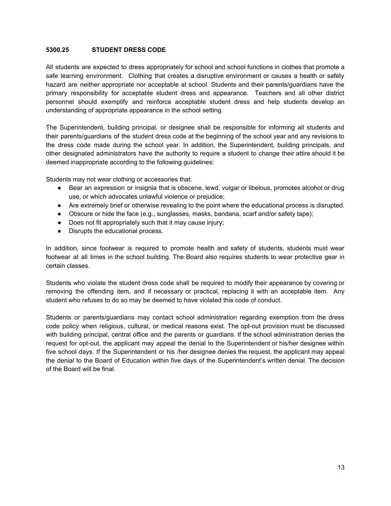#### **5300.25 STUDENT DRESS CODE**

All students are expected to dress appropriately for school and school functions in clothes that promote a safe learning environment. Clothing that creates a disruptive environment or causes a health or safety hazard are neither appropriate nor acceptable at school. Students and their parents/guardians have the primary responsibility for acceptable student dress and appearance. Teachers and all other district personnel should exemplify and reinforce acceptable student dress and help students develop an understanding of appropriate appearance in the school setting.

The Superintendent, building principal, or designee shall be responsible for informing all students and their parents/guardians of the student dress code at the beginning of the school year and any revisions to the dress code made during the school year. In addition, the Superintendent, building principals, and other designated administrators have the authority to require a student to change their attire should it be deemed inappropriate according to the following guidelines:

Students may not wear clothing or accessories that:

- Bear an expression or insignia that is obscene, lewd, vulgar or libelous, promotes alcohol or drug use, or which advocates unlawful violence or prejudice;
- Are extremely brief or otherwise revealing to the point where the educational process is disrupted.
- Obscure or hide the face (e.g., sunglasses, masks, bandana, scarf and/or safety tape);
- Does not fit appropriately such that it may cause injury;
- Disrupts the educational process.

In addition, since footwear is required to promote health and safety of students, students must wear footwear at all times in the school building. The Board also requires students to wear protective gear in certain classes.

Students who violate the student dress code shall be required to modify their appearance by covering or removing the offending item, and if necessary or practical, replacing it with an acceptable item. Any student who refuses to do so may be deemed to have violated this code of conduct.

Students or parents/guardians may contact school administration regarding exemption from the dress code policy when religious, cultural, or medical reasons exist. The opt-out provision must be discussed with building principal, central office and the parents or guardians. If the school administration denies the request for opt-out, the applicant may appeal the denial to the Superintendent or his/her designee within five school days. If the Superintendent or his /her designee denies the request, the applicant may appeal the denial to the Board of Education within five days of the Superintendent's written denial. The decision of the Board will be final.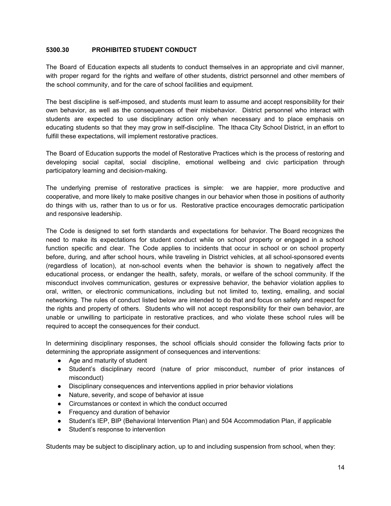#### **5300.30 PROHIBITED STUDENT CONDUCT**

The Board of Education expects all students to conduct themselves in an appropriate and civil manner, with proper regard for the rights and welfare of other students, district personnel and other members of the school community, and for the care of school facilities and equipment.

The best discipline is self-imposed, and students must learn to assume and accept responsibility for their own behavior, as well as the consequences of their misbehavior. District personnel who interact with students are expected to use disciplinary action only when necessary and to place emphasis on educating students so that they may grow in self-discipline. The Ithaca City School District, in an effort to fulfill these expectations, will implement restorative practices.

The Board of Education supports the model of Restorative Practices which is the process of restoring and developing social capital, social discipline, emotional wellbeing and civic participation through participatory learning and decision-making.

The underlying premise of restorative practices is simple: we are happier, more productive and cooperative, and more likely to make positive changes in our behavior when those in positions of authority do things with us, rather than to us or for us. Restorative practice encourages democratic participation and responsive leadership.

The Code is designed to set forth standards and expectations for behavior. The Board recognizes the need to make its expectations for student conduct while on school property or engaged in a school function specific and clear. The Code applies to incidents that occur in school or on school property before, during, and after school hours, while traveling in District vehicles, at all school-sponsored events (regardless of location), at non-school events when the behavior is shown to negatively affect the educational process, or endanger the health, safety, morals, or welfare of the school community. If the misconduct involves communication, gestures or expressive behavior, the behavior violation applies to oral, written, or electronic communications, including but not limited to, texting, emailing, and social networking. The rules of conduct listed below are intended to do that and focus on safety and respect for the rights and property of others. Students who will not accept responsibility for their own behavior, are unable or unwilling to participate in restorative practices, and who violate these school rules will be required to accept the consequences for their conduct.

In determining disciplinary responses, the school officials should consider the following facts prior to determining the appropriate assignment of consequences and interventions:

- Age and maturity of student
- Student's disciplinary record (nature of prior misconduct, number of prior instances of misconduct)
- Disciplinary consequences and interventions applied in prior behavior violations
- Nature, severity, and scope of behavior at issue
- Circumstances or context in which the conduct occurred
- Frequency and duration of behavior
- Student's IEP, BIP (Behavioral Intervention Plan) and 504 Accommodation Plan, if applicable
- Student's response to intervention

Students may be subject to disciplinary action, up to and including suspension from school, when they: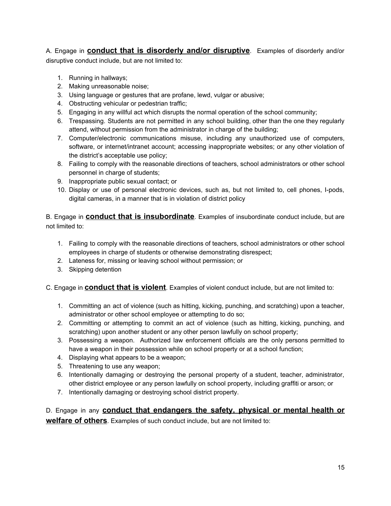A. Engage in **conduct that is disorderly and/or disruptive**. Examples of disorderly and/or disruptive conduct include, but are not limited to:

- 1. Running in hallways;
- 2. Making unreasonable noise;
- 3. Using language or gestures that are profane, lewd, vulgar or abusive;
- 4. Obstructing vehicular or pedestrian traffic;
- 5. Engaging in any willful act which disrupts the normal operation of the school community;
- 6. Trespassing. Students are not permitted in any school building, other than the one they regularly attend, without permission from the administrator in charge of the building;
- 7. Computer/electronic communications misuse, including any unauthorized use of computers, software, or internet/intranet account; accessing inappropriate websites; or any other violation of the district's acceptable use policy;
- 8. Failing to comply with the reasonable directions of teachers, school administrators or other school personnel in charge of students;
- 9. Inappropriate public sexual contact; or
- 10. Display or use of personal electronic devices, such as, but not limited to, cell phones, I-pods, digital cameras, in a manner that is in violation of district policy

B. Engage in **conduct that is insubordinate**. Examples of insubordinate conduct include, but are not limited to:

- 1. Failing to comply with the reasonable directions of teachers, school administrators or other school employees in charge of students or otherwise demonstrating disrespect;
- 2. Lateness for, missing or leaving school without permission; or
- 3. Skipping detention

# C. Engage in **conduct that is violent**. Examples of violent conduct include, but are not limited to:

- 1. Committing an act of violence (such as hitting, kicking, punching, and scratching) upon a teacher, administrator or other school employee or attempting to do so;
- 2. Committing or attempting to commit an act of violence (such as hitting, kicking, punching, and scratching) upon another student or any other person lawfully on school property;
- 3. Possessing a weapon. Authorized law enforcement officials are the only persons permitted to have a weapon in their possession while on school property or at a school function;
- 4. Displaying what appears to be a weapon;
- 5. Threatening to use any weapon;
- 6. Intentionally damaging or destroying the personal property of a student, teacher, administrator, other district employee or any person lawfully on school property, including graffiti or arson; or
- 7. Intentionally damaging or destroying school district property.

D. Engage in any **conduct that endangers the safety, physical or mental health or welfare of others**. Examples of such conduct include, but are not limited to: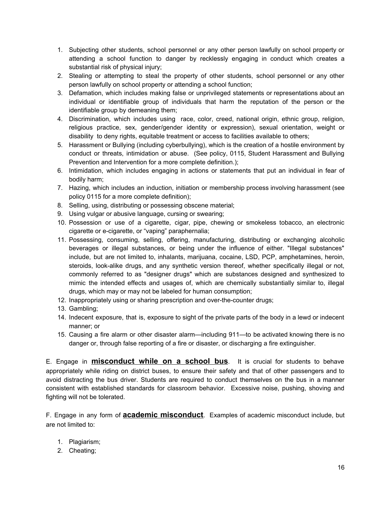- 1. Subjecting other students, school personnel or any other person lawfully on school property or attending a school function to danger by recklessly engaging in conduct which creates a substantial risk of physical injury;
- 2. Stealing or attempting to steal the property of other students, school personnel or any other person lawfully on school property or attending a school function;
- 3. Defamation, which includes making false or unprivileged statements or representations about an individual or identifiable group of individuals that harm the reputation of the person or the identifiable group by demeaning them;
- 4. Discrimination, which includes using race, color, creed, national origin, ethnic group, religion, religious practice, sex, gender/gender identity or expression), sexual orientation, weight or disability to deny rights, equitable treatment or access to facilities available to others;
- 5. Harassment or Bullying (including cyberbullying), which is the creation of a hostile environment by conduct or threats, intimidation or abuse. (See policy, 0115, Student Harassment and Bullying Prevention and Intervention for a more complete definition.);
- 6. Intimidation, which includes engaging in actions or statements that put an individual in fear of bodily harm;
- 7. Hazing, which includes an induction, initiation or membership process involving harassment (see policy 0115 for a more complete definition);
- 8. Selling, using, distributing or possessing obscene material;
- 9. Using vulgar or abusive language, cursing or swearing;
- 10. Possession or use of a cigarette, cigar, pipe, chewing or smokeless tobacco, an electronic cigarette or e-cigarette, or "vaping" paraphernalia;
- 11. Possessing, consuming, selling, offering, manufacturing, distributing or exchanging alcoholic beverages or illegal substances, or being under the influence of either. "Illegal substances" include, but are not limited to, inhalants, marijuana, cocaine, LSD, PCP, amphetamines, heroin, steroids, look-alike drugs, and any synthetic version thereof, whether specifically illegal or not, commonly referred to as "designer drugs" which are substances designed and synthesized to mimic the intended effects and usages of, which are chemically substantially similar to, illegal drugs, which may or may not be labeled for human consumption;
- 12. Inappropriately using or sharing prescription and over-the-counter drugs;
- 13. Gambling;
- 14. Indecent exposure, that is, exposure to sight of the private parts of the body in a lewd or indecent manner; or
- 15. Causing a fire alarm or other disaster alarm—including 911—to be activated knowing there is no danger or, through false reporting of a fire or disaster, or discharging a fire extinguisher.

E. Engage in **misconduct while on a school bus**. It is crucial for students to behave appropriately while riding on district buses, to ensure their safety and that of other passengers and to avoid distracting the bus driver. Students are required to conduct themselves on the bus in a manner consistent with established standards for classroom behavior. Excessive noise, pushing, shoving and fighting will not be tolerated.

F. Engage in any form of **academic misconduct**. Examples of academic misconduct include, but are not limited to:

- 1. Plagiarism;
- 2. Cheating;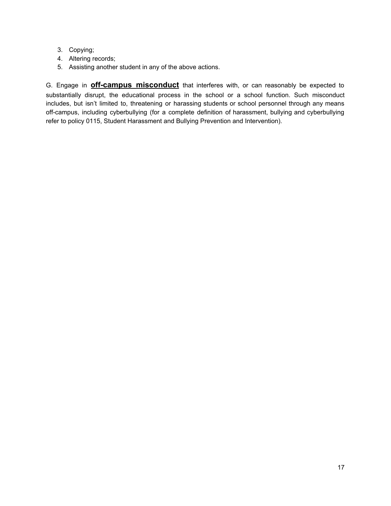- 3. Copying;
- 4. Altering records;
- 5. Assisting another student in any of the above actions.

G. Engage in **off-campus misconduct** that interferes with, or can reasonably be expected to substantially disrupt, the educational process in the school or a school function. Such misconduct includes, but isn't limited to, threatening or harassing students or school personnel through any means off-campus, including cyberbullying (for a complete definition of harassment, bullying and cyberbullying refer to policy 0115, Student Harassment and Bullying Prevention and Intervention).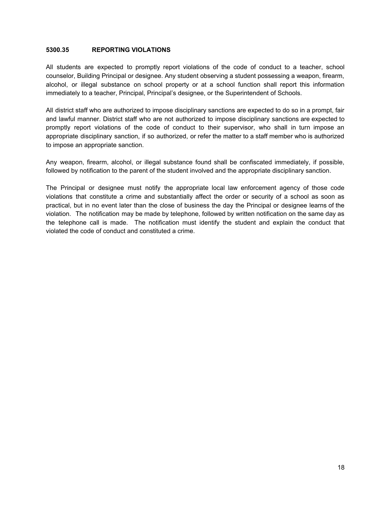#### **5300.35 REPORTING VIOLATIONS**

All students are expected to promptly report violations of the code of conduct to a teacher, school counselor, Building Principal or designee. Any student observing a student possessing a weapon, firearm, alcohol, or illegal substance on school property or at a school function shall report this information immediately to a teacher, Principal, Principal's designee, or the Superintendent of Schools.

All district staff who are authorized to impose disciplinary sanctions are expected to do so in a prompt, fair and lawful manner. District staff who are not authorized to impose disciplinary sanctions are expected to promptly report violations of the code of conduct to their supervisor, who shall in turn impose an appropriate disciplinary sanction, if so authorized, or refer the matter to a staff member who is authorized to impose an appropriate sanction.

Any weapon, firearm, alcohol, or illegal substance found shall be confiscated immediately, if possible, followed by notification to the parent of the student involved and the appropriate disciplinary sanction.

The Principal or designee must notify the appropriate local law enforcement agency of those code violations that constitute a crime and substantially affect the order or security of a school as soon as practical, but in no event later than the close of business the day the Principal or designee learns of the violation. The notification may be made by telephone, followed by written notification on the same day as the telephone call is made. The notification must identify the student and explain the conduct that violated the code of conduct and constituted a crime.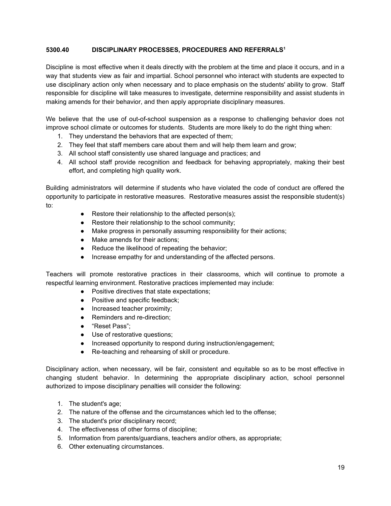# **5300.40 DISCIPLINARY PROCESSES, PROCEDURES AND REFERRALS 1**

Discipline is most effective when it deals directly with the problem at the time and place it occurs, and in a way that students view as fair and impartial. School personnel who interact with students are expected to use disciplinary action only when necessary and to place emphasis on the students' ability to grow. Staff responsible for discipline will take measures to investigate, determine responsibility and assist students in making amends for their behavior, and then apply appropriate disciplinary measures.

We believe that the use of out-of-school suspension as a response to challenging behavior does not improve school climate or outcomes for students. Students are more likely to do the right thing when:

- 1. They understand the behaviors that are expected of them;
- 2. They feel that staff members care about them and will help them learn and grow;
- 3. All school staff consistently use shared language and practices; and
- 4. All school staff provide recognition and feedback for behaving appropriately, making their best effort, and completing high quality work.

Building administrators will determine if students who have violated the code of conduct are offered the opportunity to participate in restorative measures. Restorative measures assist the responsible student(s) to:

- Restore their relationship to the affected person(s);
- Restore their relationship to the school community;
- Make progress in personally assuming responsibility for their actions;
- Make amends for their actions;
- Reduce the likelihood of repeating the behavior;
- Increase empathy for and understanding of the affected persons.

Teachers will promote restorative practices in their classrooms, which will continue to promote a respectful learning environment. Restorative practices implemented may include:

- Positive directives that state expectations;
- Positive and specific feedback:
- Increased teacher proximity;
- Reminders and re-direction:
- "Reset Pass":
- Use of restorative questions;
- Increased opportunity to respond during instruction/engagement;
- Re-teaching and rehearsing of skill or procedure.

Disciplinary action, when necessary, will be fair, consistent and equitable so as to be most effective in changing student behavior. In determining the appropriate disciplinary action, school personnel authorized to impose disciplinary penalties will consider the following:

- 1. The student's age;
- 2. The nature of the offense and the circumstances which led to the offense;
- 3. The student's prior disciplinary record;
- 4. The effectiveness of other forms of discipline;
- 5. Information from parents/guardians, teachers and/or others, as appropriate;
- 6. Other extenuating circumstances.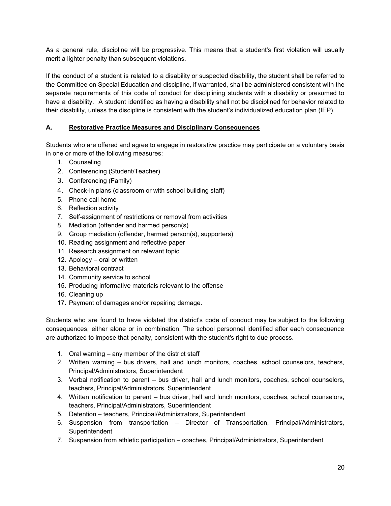As a general rule, discipline will be progressive. This means that a student's first violation will usually merit a lighter penalty than subsequent violations.

If the conduct of a student is related to a disability or suspected disability, the student shall be referred to the Committee on Special Education and discipline, if warranted, shall be administered consistent with the separate requirements of this code of conduct for disciplining students with a disability or presumed to have a disability. A student identified as having a disability shall not be disciplined for behavior related to their disability, unless the discipline is consistent with the student's individualized education plan (IEP).

# **A. Restorative Practice Measures and Disciplinary Consequences**

Students who are offered and agree to engage in restorative practice may participate on a voluntary basis in one or more of the following measures:

- 1. Counseling
- 2. Conferencing (Student/Teacher)
- 3. Conferencing (Family)
- 4. Check-in plans (classroom or with school building staff)
- 5. Phone call home
- 6. Reflection activity
- 7. Self-assignment of restrictions or removal from activities
- 8. Mediation (offender and harmed person(s)
- 9. Group mediation (offender, harmed person(s), supporters)
- 10. Reading assignment and reflective paper
- 11. Research assignment on relevant topic
- 12. Apology oral or written
- 13. Behavioral contract
- 14. Community service to school
- 15. Producing informative materials relevant to the offense
- 16. Cleaning up
- 17. Payment of damages and/or repairing damage.

Students who are found to have violated the district's code of conduct may be subject to the following consequences, either alone or in combination. The school personnel identified after each consequence are authorized to impose that penalty, consistent with the student's right to due process.

- 1. Oral warning any member of the district staff
- 2. Written warning bus drivers, hall and lunch monitors, coaches, school counselors, teachers, Principal/Administrators, Superintendent
- 3. Verbal notification to parent bus driver, hall and lunch monitors, coaches, school counselors, teachers, Principal/Administrators, Superintendent
- 4. Written notification to parent bus driver, hall and lunch monitors, coaches, school counselors, teachers, Principal/Administrators, Superintendent
- 5. Detention teachers, Principal/Administrators, Superintendent
- 6. Suspension from transportation Director of Transportation, Principal/Administrators, **Superintendent**
- 7. Suspension from athletic participation coaches, Principal/Administrators, Superintendent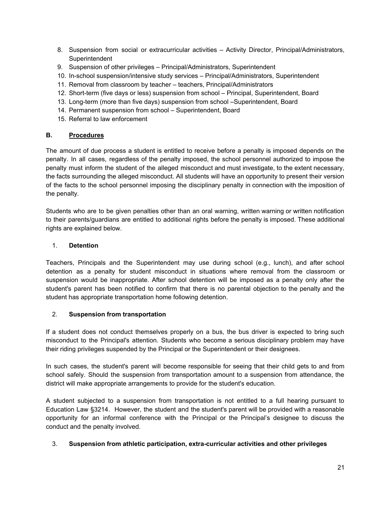- 8. Suspension from social or extracurricular activities Activity Director, Principal/Administrators, **Superintendent**
- 9. Suspension of other privileges Principal/Administrators, Superintendent
- 10. In-school suspension/intensive study services Principal/Administrators, Superintendent
- 11. Removal from classroom by teacher teachers, Principal/Administrators
- 12. Short-term (five days or less) suspension from school Principal, Superintendent, Board
- 13. Long-term (more than five days) suspension from school –Superintendent, Board
- 14. Permanent suspension from school Superintendent, Board
- 15. Referral to law enforcement

## **B. Procedures**

The amount of due process a student is entitled to receive before a penalty is imposed depends on the penalty. In all cases, regardless of the penalty imposed, the school personnel authorized to impose the penalty must inform the student of the alleged misconduct and must investigate, to the extent necessary, the facts surrounding the alleged misconduct. All students will have an opportunity to present their version of the facts to the school personnel imposing the disciplinary penalty in connection with the imposition of the penalty.

Students who are to be given penalties other than an oral warning, written warning or written notification to their parents/guardians are entitled to additional rights before the penalty is imposed. These additional rights are explained below.

## 1. **Detention**

Teachers, Principals and the Superintendent may use during school (e.g., lunch), and after school detention as a penalty for student misconduct in situations where removal from the classroom or suspension would be inappropriate. After school detention will be imposed as a penalty only after the student's parent has been notified to confirm that there is no parental objection to the penalty and the student has appropriate transportation home following detention.

## 2. **Suspension from transportation**

If a student does not conduct themselves properly on a bus, the bus driver is expected to bring such misconduct to the Principal's attention. Students who become a serious disciplinary problem may have their riding privileges suspended by the Principal or the Superintendent or their designees.

In such cases, the student's parent will become responsible for seeing that their child gets to and from school safely. Should the suspension from transportation amount to a suspension from attendance, the district will make appropriate arrangements to provide for the student's education.

A student subjected to a suspension from transportation is not entitled to a full hearing pursuant to Education Law §3214. However, the student and the student's parent will be provided with a reasonable opportunity for an informal conference with the Principal or the Principal's designee to discuss the conduct and the penalty involved.

## 3. **Suspension from athletic participation, extra-curricular activities and other privileges**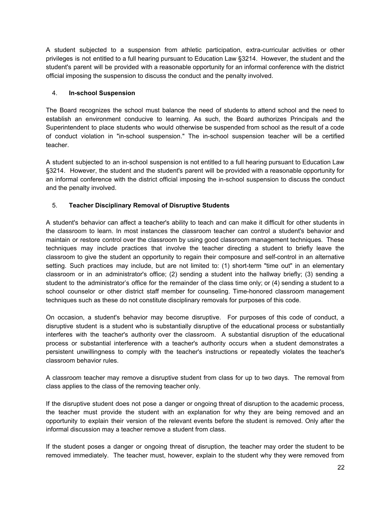A student subjected to a suspension from athletic participation, extra-curricular activities or other privileges is not entitled to a full hearing pursuant to Education Law §3214. However, the student and the student's parent will be provided with a reasonable opportunity for an informal conference with the district official imposing the suspension to discuss the conduct and the penalty involved.

# 4. **In-school Suspension**

The Board recognizes the school must balance the need of students to attend school and the need to establish an environment conducive to learning. As such, the Board authorizes Principals and the Superintendent to place students who would otherwise be suspended from school as the result of a code of conduct violation in "in-school suspension." The in-school suspension teacher will be a certified teacher.

A student subjected to an in-school suspension is not entitled to a full hearing pursuant to Education Law §3214. However, the student and the student's parent will be provided with a reasonable opportunity for an informal conference with the district official imposing the in-school suspension to discuss the conduct and the penalty involved.

# 5. **Teacher Disciplinary Removal of Disruptive Students**

A student's behavior can affect a teacher's ability to teach and can make it difficult for other students in the classroom to learn. In most instances the classroom teacher can control a student's behavior and maintain or restore control over the classroom by using good classroom management techniques. These techniques may include practices that involve the teacher directing a student to briefly leave the classroom to give the student an opportunity to regain their composure and self-control in an alternative setting. Such practices may include, but are not limited to: (1) short-term "time out" in an elementary classroom or in an administrator's office; (2) sending a student into the hallway briefly; (3) sending a student to the administrator's office for the remainder of the class time only; or (4) sending a student to a school counselor or other district staff member for counseling. Time-honored classroom management techniques such as these do not constitute disciplinary removals for purposes of this code.

On occasion, a student's behavior may become disruptive. For purposes of this code of conduct, a disruptive student is a student who is substantially disruptive of the educational process or substantially interferes with the teacher's authority over the classroom. A substantial disruption of the educational process or substantial interference with a teacher's authority occurs when a student demonstrates a persistent unwillingness to comply with the teacher's instructions or repeatedly violates the teacher's classroom behavior rules.

A classroom teacher may remove a disruptive student from class for up to two days. The removal from class applies to the class of the removing teacher only.

If the disruptive student does not pose a danger or ongoing threat of disruption to the academic process, the teacher must provide the student with an explanation for why they are being removed and an opportunity to explain their version of the relevant events before the student is removed. Only after the informal discussion may a teacher remove a student from class.

If the student poses a danger or ongoing threat of disruption, the teacher may order the student to be removed immediately. The teacher must, however, explain to the student why they were removed from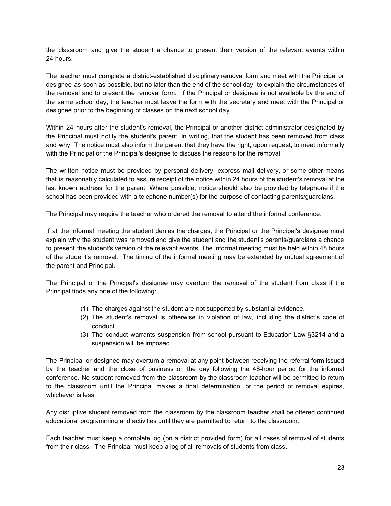the classroom and give the student a chance to present their version of the relevant events within 24-hours.

The teacher must complete a district-established disciplinary removal form and meet with the Principal or designee as soon as possible, but no later than the end of the school day, to explain the circumstances of the removal and to present the removal form. If the Principal or designee is not available by the end of the same school day, the teacher must leave the form with the secretary and meet with the Principal or designee prior to the beginning of classes on the next school day.

Within 24 hours after the student's removal, the Principal or another district administrator designated by the Principal must notify the student's parent, in writing, that the student has been removed from class and why. The notice must also inform the parent that they have the right, upon request, to meet informally with the Principal or the Principal's designee to discuss the reasons for the removal.

The written notice must be provided by personal delivery, express mail delivery, or some other means that is reasonably calculated to assure receipt of the notice within 24 hours of the student's removal at the last known address for the parent. Where possible, notice should also be provided by telephone if the school has been provided with a telephone number(s) for the purpose of contacting parents/guardians.

The Principal may require the teacher who ordered the removal to attend the informal conference.

If at the informal meeting the student denies the charges, the Principal or the Principal's designee must explain why the student was removed and give the student and the student's parents/guardians a chance to present the student's version of the relevant events. The informal meeting must be held within 48 hours of the student's removal. The timing of the informal meeting may be extended by mutual agreement of the parent and Principal.

The Principal or the Principal's designee may overturn the removal of the student from class if the Principal finds any one of the following:

- (1) The charges against the student are not supported by substantial evidence.
- (2) The student's removal is otherwise in violation of law, including the district's code of conduct.
- (3) The conduct warrants suspension from school pursuant to Education Law §3214 and a suspension will be imposed.

The Principal or designee may overturn a removal at any point between receiving the referral form issued by the teacher and the close of business on the day following the 48-hour period for the informal conference. No student removed from the classroom by the classroom teacher will be permitted to return to the classroom until the Principal makes a final determination, or the period of removal expires, whichever is less.

Any disruptive student removed from the classroom by the classroom teacher shall be offered continued educational programming and activities until they are permitted to return to the classroom.

Each teacher must keep a complete log (on a district provided form) for all cases of removal of students from their class. The Principal must keep a log of all removals of students from class.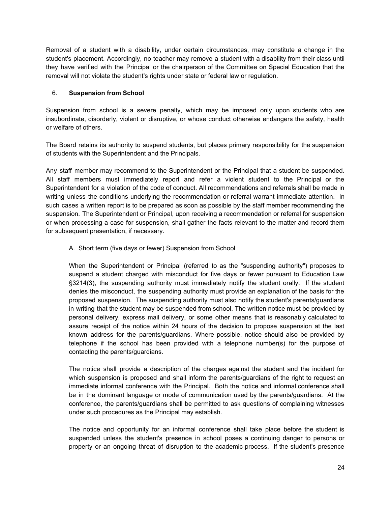Removal of a student with a disability, under certain circumstances, may constitute a change in the student's placement. Accordingly, no teacher may remove a student with a disability from their class until they have verified with the Principal or the chairperson of the Committee on Special Education that the removal will not violate the student's rights under state or federal law or regulation.

# 6. **Suspension from School**

Suspension from school is a severe penalty, which may be imposed only upon students who are insubordinate, disorderly, violent or disruptive, or whose conduct otherwise endangers the safety, health or welfare of others.

The Board retains its authority to suspend students, but places primary responsibility for the suspension of students with the Superintendent and the Principals.

Any staff member may recommend to the Superintendent or the Principal that a student be suspended. All staff members must immediately report and refer a violent student to the Principal or the Superintendent for a violation of the code of conduct. All recommendations and referrals shall be made in writing unless the conditions underlying the recommendation or referral warrant immediate attention. In such cases a written report is to be prepared as soon as possible by the staff member recommending the suspension. The Superintendent or Principal, upon receiving a recommendation or referral for suspension or when processing a case for suspension, shall gather the facts relevant to the matter and record them for subsequent presentation, if necessary.

# A. Short term (five days or fewer) Suspension from School

When the Superintendent or Principal (referred to as the "suspending authority") proposes to suspend a student charged with misconduct for five days or fewer pursuant to Education Law §3214(3), the suspending authority must immediately notify the student orally. If the student denies the misconduct, the suspending authority must provide an explanation of the basis for the proposed suspension. The suspending authority must also notify the student's parents/guardians in writing that the student may be suspended from school. The written notice must be provided by personal delivery, express mail delivery, or some other means that is reasonably calculated to assure receipt of the notice within 24 hours of the decision to propose suspension at the last known address for the parents/guardians. Where possible, notice should also be provided by telephone if the school has been provided with a telephone number(s) for the purpose of contacting the parents/guardians.

The notice shall provide a description of the charges against the student and the incident for which suspension is proposed and shall inform the parents/guardians of the right to request an immediate informal conference with the Principal. Both the notice and informal conference shall be in the dominant language or mode of communication used by the parents/guardians. At the conference, the parents/guardians shall be permitted to ask questions of complaining witnesses under such procedures as the Principal may establish.

The notice and opportunity for an informal conference shall take place before the student is suspended unless the student's presence in school poses a continuing danger to persons or property or an ongoing threat of disruption to the academic process. If the student's presence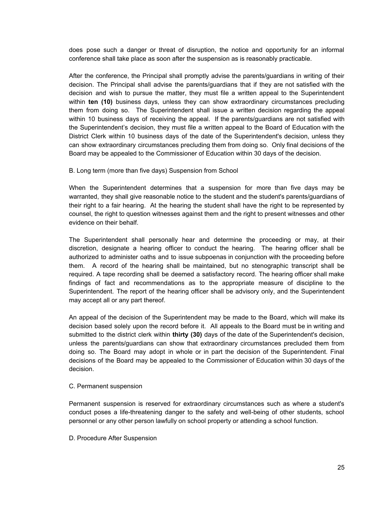does pose such a danger or threat of disruption, the notice and opportunity for an informal conference shall take place as soon after the suspension as is reasonably practicable.

After the conference, the Principal shall promptly advise the parents/guardians in writing of their decision. The Principal shall advise the parents/guardians that if they are not satisfied with the decision and wish to pursue the matter, they must file a written appeal to the Superintendent within **ten (10)** business days, unless they can show extraordinary circumstances precluding them from doing so. The Superintendent shall issue a written decision regarding the appeal within 10 business days of receiving the appeal. If the parents/guardians are not satisfied with the Superintendent's decision, they must file a written appeal to the Board of Education with the District Clerk within 10 business days of the date of the Superintendent's decision, unless they can show extraordinary circumstances precluding them from doing so. Only final decisions of the Board may be appealed to the Commissioner of Education within 30 days of the decision.

#### B. Long term (more than five days) Suspension from School

When the Superintendent determines that a suspension for more than five days may be warranted, they shall give reasonable notice to the student and the student's parents/guardians of their right to a fair hearing. At the hearing the student shall have the right to be represented by counsel, the right to question witnesses against them and the right to present witnesses and other evidence on their behalf.

The Superintendent shall personally hear and determine the proceeding or may, at their discretion, designate a hearing officer to conduct the hearing. The hearing officer shall be authorized to administer oaths and to issue subpoenas in conjunction with the proceeding before them. A record of the hearing shall be maintained, but no stenographic transcript shall be required. A tape recording shall be deemed a satisfactory record. The hearing officer shall make findings of fact and recommendations as to the appropriate measure of discipline to the Superintendent. The report of the hearing officer shall be advisory only, and the Superintendent may accept all or any part thereof.

An appeal of the decision of the Superintendent may be made to the Board, which will make its decision based solely upon the record before it. All appeals to the Board must be in writing and submitted to the district clerk within **thirty (30)** days of the date of the Superintendent's decision, unless the parents/guardians can show that extraordinary circumstances precluded them from doing so. The Board may adopt in whole or in part the decision of the Superintendent. Final decisions of the Board may be appealed to the Commissioner of Education within 30 days of the decision.

#### C. Permanent suspension

Permanent suspension is reserved for extraordinary circumstances such as where a student's conduct poses a life-threatening danger to the safety and well-being of other students, school personnel or any other person lawfully on school property or attending a school function.

D. Procedure After Suspension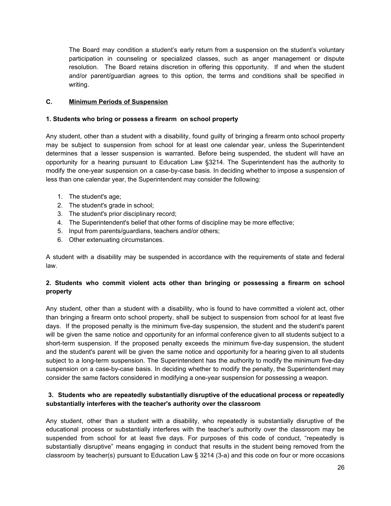The Board may condition a student's early return from a suspension on the student's voluntary participation in counseling or specialized classes, such as anger management or dispute resolution. The Board retains discretion in offering this opportunity. If and when the student and/or parent/guardian agrees to this option, the terms and conditions shall be specified in writing.

# **C. Minimum Periods of Suspension**

# **1. Students who bring or possess a firearm on school property**

Any student, other than a student with a disability, found guilty of bringing a firearm onto school property may be subject to suspension from school for at least one calendar year, unless the Superintendent determines that a lesser suspension is warranted. Before being suspended, the student will have an opportunity for a hearing pursuant to Education Law §3214. The Superintendent has the authority to modify the one-year suspension on a case-by-case basis. In deciding whether to impose a suspension of less than one calendar year, the Superintendent may consider the following:

- 1. The student's age;
- 2. The student's grade in school;
- 3. The student's prior disciplinary record;
- 4. The Superintendent's belief that other forms of discipline may be more effective;
- 5. Input from parents/guardians, teachers and/or others;
- 6. Other extenuating circumstances.

A student with a disability may be suspended in accordance with the requirements of state and federal law.

# **2. Students who commit violent acts other than bringing or possessing a firearm on school property**

Any student, other than a student with a disability, who is found to have committed a violent act, other than bringing a firearm onto school property, shall be subject to suspension from school for at least five days. If the proposed penalty is the minimum five-day suspension, the student and the student's parent will be given the same notice and opportunity for an informal conference given to all students subject to a short-term suspension. If the proposed penalty exceeds the minimum five-day suspension, the student and the student's parent will be given the same notice and opportunity for a hearing given to all students subject to a long-term suspension. The Superintendent has the authority to modify the minimum five-day suspension on a case-by-case basis. In deciding whether to modify the penalty, the Superintendent may consider the same factors considered in modifying a one-year suspension for possessing a weapon.

# **3. Students who are repeatedly substantially disruptive of the educational process or repeatedly substantially interferes with the teacher's authority over the classroom**

Any student, other than a student with a disability, who repeatedly is substantially disruptive of the educational process or substantially interferes with the teacher's authority over the classroom may be suspended from school for at least five days. For purposes of this code of conduct, "repeatedly is substantially disruptive" means engaging in conduct that results in the student being removed from the classroom by teacher(s) pursuant to Education Law § 3214 (3-a) and this code on four or more occasions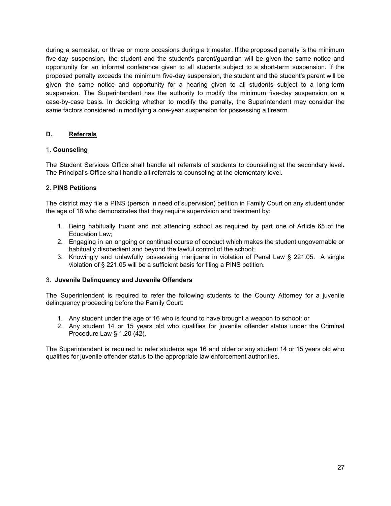during a semester, or three or more occasions during a trimester. If the proposed penalty is the minimum five-day suspension, the student and the student's parent/guardian will be given the same notice and opportunity for an informal conference given to all students subject to a short-term suspension. If the proposed penalty exceeds the minimum five-day suspension, the student and the student's parent will be given the same notice and opportunity for a hearing given to all students subject to a long-term suspension. The Superintendent has the authority to modify the minimum five-day suspension on a case-by-case basis. In deciding whether to modify the penalty, the Superintendent may consider the same factors considered in modifying a one-year suspension for possessing a firearm.

# **D. Referrals**

# 1. **Counseling**

The Student Services Office shall handle all referrals of students to counseling at the secondary level. The Principal's Office shall handle all referrals to counseling at the elementary level.

# 2. **PINS Petitions**

The district may file a PINS (person in need of supervision) petition in Family Court on any student under the age of 18 who demonstrates that they require supervision and treatment by:

- 1. Being habitually truant and not attending school as required by part one of Article 65 of the Education Law;
- 2. Engaging in an ongoing or continual course of conduct which makes the student ungovernable or habitually disobedient and beyond the lawful control of the school;
- 3. Knowingly and unlawfully possessing marijuana in violation of Penal Law § 221.05. A single violation of § 221.05 will be a sufficient basis for filing a PINS petition.

## 3. **Juvenile Delinquency and Juvenile Offenders**

The Superintendent is required to refer the following students to the County Attorney for a juvenile delinquency proceeding before the Family Court:

- 1. Any student under the age of 16 who is found to have brought a weapon to school; or
- 2. Any student 14 or 15 years old who qualifies for juvenile offender status under the Criminal Procedure Law § 1.20 (42).

The Superintendent is required to refer students age 16 and older or any student 14 or 15 years old who qualifies for juvenile offender status to the appropriate law enforcement authorities.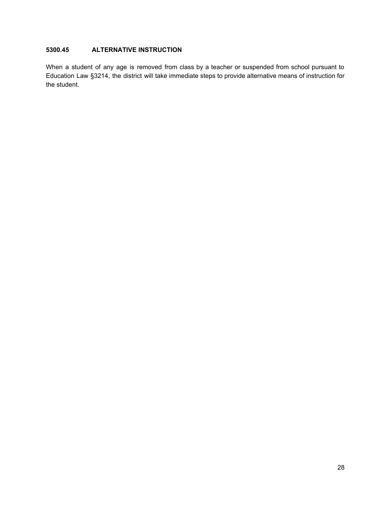# **5300.45 ALTERNATIVE INSTRUCTION**

When a student of any age is removed from class by a teacher or suspended from school pursuant to Education Law §3214, the district will take immediate steps to provide alternative means of instruction for the student.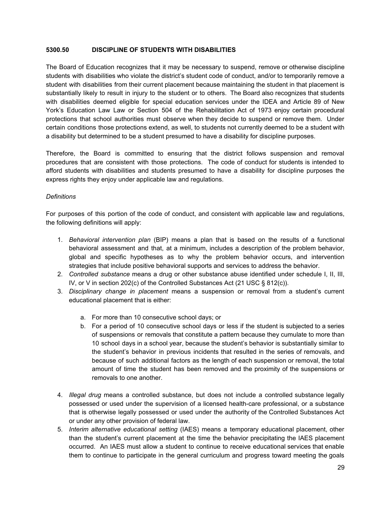#### **5300.50 DISCIPLINE OF STUDENTS WITH DISABILITIES**

The Board of Education recognizes that it may be necessary to suspend, remove or otherwise discipline students with disabilities who violate the district's student code of conduct, and/or to temporarily remove a student with disabilities from their current placement because maintaining the student in that placement is substantially likely to result in injury to the student or to others. The Board also recognizes that students with disabilities deemed eligible for special education services under the IDEA and Article 89 of New York's Education Law Law or Section 504 of the Rehabilitation Act of 1973 enjoy certain procedural protections that school authorities must observe when they decide to suspend or remove them. Under certain conditions those protections extend, as well, to students not currently deemed to be a student with a disability but determined to be a student presumed to have a disability for discipline purposes.

Therefore, the Board is committed to ensuring that the district follows suspension and removal procedures that are consistent with those protections. The code of conduct for students is intended to afford students with disabilities and students presumed to have a disability for discipline purposes the express rights they enjoy under applicable law and regulations.

## *Definitions*

For purposes of this portion of the code of conduct, and consistent with applicable law and regulations, the following definitions will apply:

- 1. *Behavioral intervention plan* (BIP) means a plan that is based on the results of a functional behavioral assessment and that, at a minimum, includes a description of the problem behavior, global and specific hypotheses as to why the problem behavior occurs, and intervention strategies that include positive behavioral supports and services to address the behavior.
- 2. *Controlled substance* means a drug or other substance abuse identified under schedule I, II, III, IV, or V in section 202(c) of the Controlled Substances Act (21 USC § 812(c)).
- 3. *Disciplinary change in placement* means a suspension or removal from a student's current educational placement that is either:
	- a. For more than 10 consecutive school days; or
	- b. For a period of 10 consecutive school days or less if the student is subjected to a series of suspensions or removals that constitute a pattern because they cumulate to more than 10 school days in a school year, because the student's behavior is substantially similar to the student's behavior in previous incidents that resulted in the series of removals, and because of such additional factors as the length of each suspension or removal, the total amount of time the student has been removed and the proximity of the suspensions or removals to one another.
- 4. *Illegal drug* means a controlled substance, but does not include a controlled substance legally possessed or used under the supervision of a licensed health-care professional, or a substance that is otherwise legally possessed or used under the authority of the Controlled Substances Act or under any other provision of federal law.
- 5. *Interim alternative educational setting* (IAES) means a temporary educational placement, other than the student's current placement at the time the behavior precipitating the IAES placement occurred. An IAES must allow a student to continue to receive educational services that enable them to continue to participate in the general curriculum and progress toward meeting the goals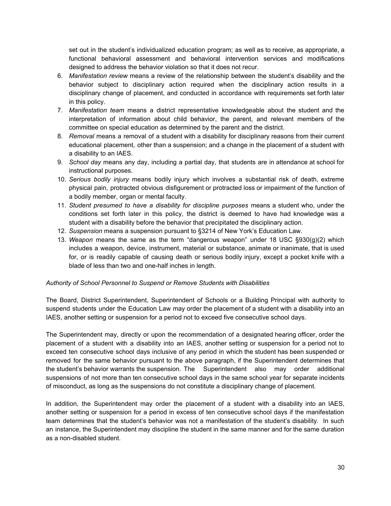set out in the student's individualized education program; as well as to receive, as appropriate, a functional behavioral assessment and behavioral intervention services and modifications designed to address the behavior violation so that it does not recur.

- 6. *Manifestation review* means a review of the relationship between the student's disability and the behavior subject to disciplinary action required when the disciplinary action results in a disciplinary change of placement, and conducted in accordance with requirements set forth later in this policy.
- 7. *Manifestation team* means a district representative knowledgeable about the student and the interpretation of information about child behavior, the parent, and relevant members of the committee on special education as determined by the parent and the district.
- 8. *Removal* means a removal of a student with a disability for disciplinary reasons from their current educational placement, other than a suspension; and a change in the placement of a student with a disability to an IAES.
- 9. *School day* means any day, including a partial day, that students are in attendance at school for instructional purposes.
- 10. *Serious bodily injury* means bodily injury which involves a substantial risk of death, extreme physical pain, protracted obvious disfigurement or protracted loss or impairment of the function of a bodily member, organ or mental faculty.
- 11. *Student presumed to have a disability for discipline purposes* means a student who, under the conditions set forth later in this policy, the district is deemed to have had knowledge was a student with a disability before the behavior that precipitated the disciplinary action.
- 12. *Suspension* means a suspension pursuant to §3214 of New York's Education Law.
- 13. *Weapon* means the same as the term "dangerous weapon" under 18 USC §930(g)(2) which includes a weapon, device, instrument, material or substance, animate or inanimate, that is used for, or is readily capable of causing death or serious bodily injury, except a pocket knife with a blade of less than two and one-half inches in length.

## *Authority of School Personnel to Suspend or Remove Students with Disabilities*

The Board, District Superintendent, Superintendent of Schools or a Building Principal with authority to suspend students under the Education Law may order the placement of a student with a disability into an IAES, another setting or suspension for a period not to exceed five consecutive school days.

The Superintendent may, directly or upon the recommendation of a designated hearing officer, order the placement of a student with a disability into an IAES, another setting or suspension for a period not to exceed ten consecutive school days inclusive of any period in which the student has been suspended or removed for the same behavior pursuant to the above paragraph, if the Superintendent determines that the student's behavior warrants the suspension. The Superintendent also may order additional suspensions of not more than ten consecutive school days in the same school year for separate incidents of misconduct, as long as the suspensions do not constitute a disciplinary change of placement.

In addition, the Superintendent may order the placement of a student with a disability into an IAES, another setting or suspension for a period in excess of ten consecutive school days if the manifestation team determines that the student's behavior was not a manifestation of the student's disability. In such an instance, the Superintendent may discipline the student in the same manner and for the same duration as a non-disabled student.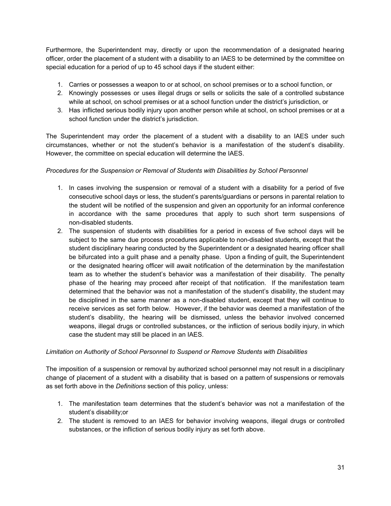Furthermore, the Superintendent may, directly or upon the recommendation of a designated hearing officer, order the placement of a student with a disability to an IAES to be determined by the committee on special education for a period of up to 45 school days if the student either:

- 1. Carries or possesses a weapon to or at school, on school premises or to a school function, or
- 2. Knowingly possesses or uses illegal drugs or sells or solicits the sale of a controlled substance while at school, on school premises or at a school function under the district's jurisdiction, or
- 3. Has inflicted serious bodily injury upon another person while at school, on school premises or at a school function under the district's jurisdiction.

The Superintendent may order the placement of a student with a disability to an IAES under such circumstances, whether or not the student's behavior is a manifestation of the student's disability. However, the committee on special education will determine the IAES.

# *Procedures for the Suspension or Removal of Students with Disabilities by School Personnel*

- 1. In cases involving the suspension or removal of a student with a disability for a period of five consecutive school days or less, the student's parents/guardians or persons in parental relation to the student will be notified of the suspension and given an opportunity for an informal conference in accordance with the same procedures that apply to such short term suspensions of non-disabled students.
- 2. The suspension of students with disabilities for a period in excess of five school days will be subject to the same due process procedures applicable to non-disabled students, except that the student disciplinary hearing conducted by the Superintendent or a designated hearing officer shall be bifurcated into a guilt phase and a penalty phase. Upon a finding of guilt, the Superintendent or the designated hearing officer will await notification of the determination by the manifestation team as to whether the student's behavior was a manifestation of their disability. The penalty phase of the hearing may proceed after receipt of that notification. If the manifestation team determined that the behavior was not a manifestation of the student's disability, the student may be disciplined in the same manner as a non-disabled student, except that they will continue to receive services as set forth below. However, if the behavior was deemed a manifestation of the student's disability, the hearing will be dismissed, unless the behavior involved concerned weapons, illegal drugs or controlled substances, or the infliction of serious bodily injury, in which case the student may still be placed in an IAES.

## *Limitation on Authority of School Personnel to Suspend or Remove Students with Disabilities*

The imposition of a suspension or removal by authorized school personnel may not result in a disciplinary change of placement of a student with a disability that is based on a pattern of suspensions or removals as set forth above in the *Definitions* section of this policy, unless:

- 1. The manifestation team determines that the student's behavior was not a manifestation of the student's disability;or
- 2. The student is removed to an IAES for behavior involving weapons, illegal drugs or controlled substances, or the infliction of serious bodily injury as set forth above.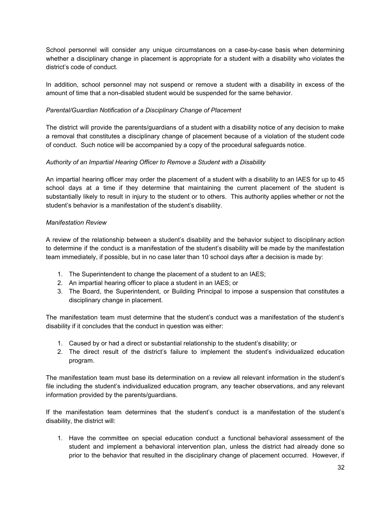School personnel will consider any unique circumstances on a case-by-case basis when determining whether a disciplinary change in placement is appropriate for a student with a disability who violates the district's code of conduct.

In addition, school personnel may not suspend or remove a student with a disability in excess of the amount of time that a non-disabled student would be suspended for the same behavior.

## *Parental/Guardian Notification of a Disciplinary Change of Placement*

The district will provide the parents/guardians of a student with a disability notice of any decision to make a removal that constitutes a disciplinary change of placement because of a violation of the student code of conduct. Such notice will be accompanied by a copy of the procedural safeguards notice.

## *Authority of an Impartial Hearing Officer to Remove a Student with a Disability*

An impartial hearing officer may order the placement of a student with a disability to an IAES for up to 45 school days at a time if they determine that maintaining the current placement of the student is substantially likely to result in injury to the student or to others. This authority applies whether or not the student's behavior is a manifestation of the student's disability.

#### *Manifestation Review*

A review of the relationship between a student's disability and the behavior subject to disciplinary action to determine if the conduct is a manifestation of the student's disability will be made by the manifestation team immediately, if possible, but in no case later than 10 school days after a decision is made by:

- 1. The Superintendent to change the placement of a student to an IAES;
- 2. An impartial hearing officer to place a student in an IAES; or
- 3. The Board, the Superintendent, or Building Principal to impose a suspension that constitutes a disciplinary change in placement.

The manifestation team must determine that the student's conduct was a manifestation of the student's disability if it concludes that the conduct in question was either:

- 1. Caused by or had a direct or substantial relationship to the student's disability; or
- 2. The direct result of the district's failure to implement the student's individualized education program.

The manifestation team must base its determination on a review all relevant information in the student's file including the student's individualized education program, any teacher observations, and any relevant information provided by the parents/guardians.

If the manifestation team determines that the student's conduct is a manifestation of the student's disability, the district will:

1. Have the committee on special education conduct a functional behavioral assessment of the student and implement a behavioral intervention plan, unless the district had already done so prior to the behavior that resulted in the disciplinary change of placement occurred. However, if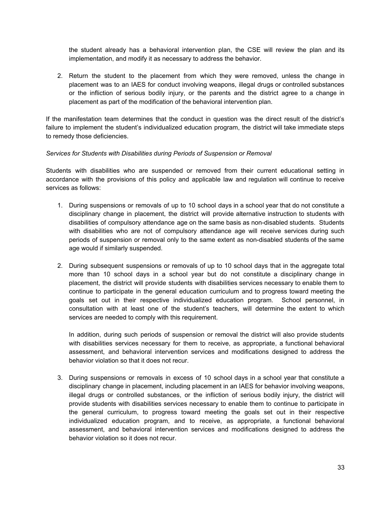the student already has a behavioral intervention plan, the CSE will review the plan and its implementation, and modify it as necessary to address the behavior.

2. Return the student to the placement from which they were removed, unless the change in placement was to an IAES for conduct involving weapons, illegal drugs or controlled substances or the infliction of serious bodily injury, or the parents and the district agree to a change in placement as part of the modification of the behavioral intervention plan.

If the manifestation team determines that the conduct in question was the direct result of the district's failure to implement the student's individualized education program, the district will take immediate steps to remedy those deficiencies.

#### *Services for Students with Disabilities during Periods of Suspension or Removal*

Students with disabilities who are suspended or removed from their current educational setting in accordance with the provisions of this policy and applicable law and regulation will continue to receive services as follows:

- 1. During suspensions or removals of up to 10 school days in a school year that do not constitute a disciplinary change in placement, the district will provide alternative instruction to students with disabilities of compulsory attendance age on the same basis as non-disabled students. Students with disabilities who are not of compulsory attendance age will receive services during such periods of suspension or removal only to the same extent as non-disabled students of the same age would if similarly suspended.
- 2. During subsequent suspensions or removals of up to 10 school days that in the aggregate total more than 10 school days in a school year but do not constitute a disciplinary change in placement, the district will provide students with disabilities services necessary to enable them to continue to participate in the general education curriculum and to progress toward meeting the goals set out in their respective individualized education program. School personnel, in consultation with at least one of the student's teachers, will determine the extent to which services are needed to comply with this requirement.

In addition, during such periods of suspension or removal the district will also provide students with disabilities services necessary for them to receive, as appropriate, a functional behavioral assessment, and behavioral intervention services and modifications designed to address the behavior violation so that it does not recur.

3. During suspensions or removals in excess of 10 school days in a school year that constitute a disciplinary change in placement, including placement in an IAES for behavior involving weapons, illegal drugs or controlled substances, or the infliction of serious bodily injury, the district will provide students with disabilities services necessary to enable them to continue to participate in the general curriculum, to progress toward meeting the goals set out in their respective individualized education program, and to receive, as appropriate, a functional behavioral assessment, and behavioral intervention services and modifications designed to address the behavior violation so it does not recur.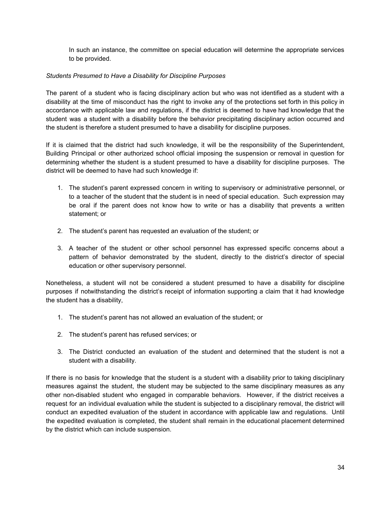In such an instance, the committee on special education will determine the appropriate services to be provided.

# *Students Presumed to Have a Disability for Discipline Purposes*

The parent of a student who is facing disciplinary action but who was not identified as a student with a disability at the time of misconduct has the right to invoke any of the protections set forth in this policy in accordance with applicable law and regulations, if the district is deemed to have had knowledge that the student was a student with a disability before the behavior precipitating disciplinary action occurred and the student is therefore a student presumed to have a disability for discipline purposes.

If it is claimed that the district had such knowledge, it will be the responsibility of the Superintendent, Building Principal or other authorized school official imposing the suspension or removal in question for determining whether the student is a student presumed to have a disability for discipline purposes. The district will be deemed to have had such knowledge if:

- 1. The student's parent expressed concern in writing to supervisory or administrative personnel, or to a teacher of the student that the student is in need of special education. Such expression may be oral if the parent does not know how to write or has a disability that prevents a written statement; or
- 2. The student's parent has requested an evaluation of the student; or
- 3. A teacher of the student or other school personnel has expressed specific concerns about a pattern of behavior demonstrated by the student, directly to the district's director of special education or other supervisory personnel.

Nonetheless, a student will not be considered a student presumed to have a disability for discipline purposes if notwithstanding the district's receipt of information supporting a claim that it had knowledge the student has a disability,

- 1. The student's parent has not allowed an evaluation of the student; or
- 2. The student's parent has refused services; or
- 3. The District conducted an evaluation of the student and determined that the student is not a student with a disability.

If there is no basis for knowledge that the student is a student with a disability prior to taking disciplinary measures against the student, the student may be subjected to the same disciplinary measures as any other non-disabled student who engaged in comparable behaviors. However, if the district receives a request for an individual evaluation while the student is subjected to a disciplinary removal, the district will conduct an expedited evaluation of the student in accordance with applicable law and regulations. Until the expedited evaluation is completed, the student shall remain in the educational placement determined by the district which can include suspension.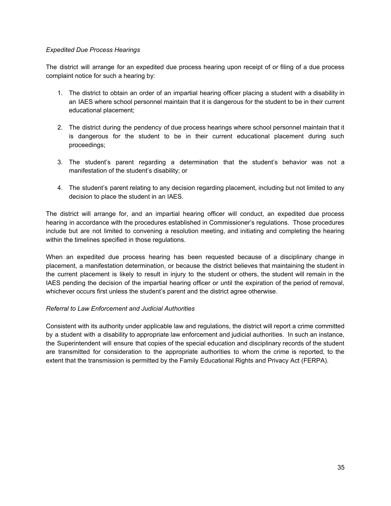## *Expedited Due Process Hearings*

The district will arrange for an expedited due process hearing upon receipt of or filing of a due process complaint notice for such a hearing by:

- 1. The district to obtain an order of an impartial hearing officer placing a student with a disability in an IAES where school personnel maintain that it is dangerous for the student to be in their current educational placement;
- 2. The district during the pendency of due process hearings where school personnel maintain that it is dangerous for the student to be in their current educational placement during such proceedings;
- 3. The student's parent regarding a determination that the student's behavior was not a manifestation of the student's disability; or
- 4. The student's parent relating to any decision regarding placement, including but not limited to any decision to place the student in an IAES.

The district will arrange for, and an impartial hearing officer will conduct, an expedited due process hearing in accordance with the procedures established in Commissioner's regulations. Those procedures include but are not limited to convening a resolution meeting, and initiating and completing the hearing within the timelines specified in those regulations.

When an expedited due process hearing has been requested because of a disciplinary change in placement, a manifestation determination, or because the district believes that maintaining the student in the current placement is likely to result in injury to the student or others, the student will remain in the IAES pending the decision of the impartial hearing officer or until the expiration of the period of removal, whichever occurs first unless the student's parent and the district agree otherwise.

## *Referral to Law Enforcement and Judicial Authorities*

Consistent with its authority under applicable law and regulations, the district will report a crime committed by a student with a disability to appropriate law enforcement and judicial authorities. In such an instance, the Superintendent will ensure that copies of the special education and disciplinary records of the student are transmitted for consideration to the appropriate authorities to whom the crime is reported, to the extent that the transmission is permitted by the Family Educational Rights and Privacy Act (FERPA).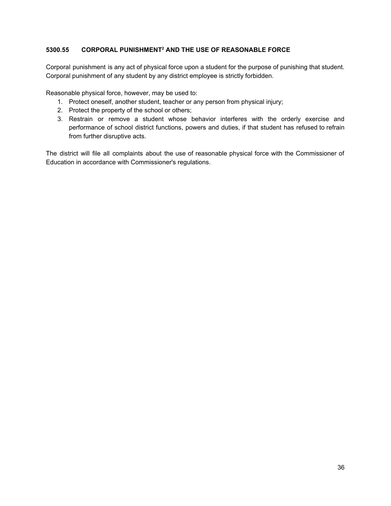# **5300.55 CORPORAL PUNISHMENT <sup>2</sup> AND THE USE OF REASONABLE FORCE**

Corporal punishment is any act of physical force upon a student for the purpose of punishing that student. Corporal punishment of any student by any district employee is strictly forbidden.

Reasonable physical force, however, may be used to:

- 1. Protect oneself, another student, teacher or any person from physical injury;
- 2. Protect the property of the school or others;
- 3. Restrain or remove a student whose behavior interferes with the orderly exercise and performance of school district functions, powers and duties, if that student has refused to refrain from further disruptive acts.

The district will file all complaints about the use of reasonable physical force with the Commissioner of Education in accordance with Commissioner's regulations.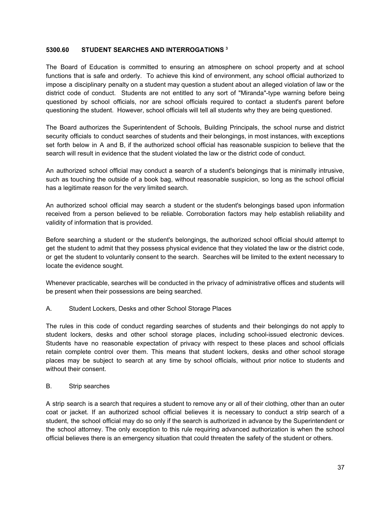#### **5300.60 STUDENT SEARCHES AND INTERROGATIONS 3**

The Board of Education is committed to ensuring an atmosphere on school property and at school functions that is safe and orderly. To achieve this kind of environment, any school official authorized to impose a disciplinary penalty on a student may question a student about an alleged violation of law or the district code of conduct. Students are not entitled to any sort of "Miranda"-type warning before being questioned by school officials, nor are school officials required to contact a student's parent before questioning the student. However, school officials will tell all students why they are being questioned.

The Board authorizes the Superintendent of Schools, Building Principals, the school nurse and district security officials to conduct searches of students and their belongings, in most instances, with exceptions set forth below in A and B, if the authorized school official has reasonable suspicion to believe that the search will result in evidence that the student violated the law or the district code of conduct.

An authorized school official may conduct a search of a student's belongings that is minimally intrusive, such as touching the outside of a book bag, without reasonable suspicion, so long as the school official has a legitimate reason for the very limited search.

An authorized school official may search a student or the student's belongings based upon information received from a person believed to be reliable. Corroboration factors may help establish reliability and validity of information that is provided.

Before searching a student or the student's belongings, the authorized school official should attempt to get the student to admit that they possess physical evidence that they violated the law or the district code, or get the student to voluntarily consent to the search. Searches will be limited to the extent necessary to locate the evidence sought.

Whenever practicable, searches will be conducted in the privacy of administrative offices and students will be present when their possessions are being searched.

A. Student Lockers, Desks and other School Storage Places

The rules in this code of conduct regarding searches of students and their belongings do not apply to student lockers, desks and other school storage places, including school-issued electronic devices. Students have no reasonable expectation of privacy with respect to these places and school officials retain complete control over them. This means that student lockers, desks and other school storage places may be subject to search at any time by school officials, without prior notice to students and without their consent.

## B. Strip searches

A strip search is a search that requires a student to remove any or all of their clothing, other than an outer coat or jacket. If an authorized school official believes it is necessary to conduct a strip search of a student, the school official may do so only if the search is authorized in advance by the Superintendent or the school attorney. The only exception to this rule requiring advanced authorization is when the school official believes there is an emergency situation that could threaten the safety of the student or others.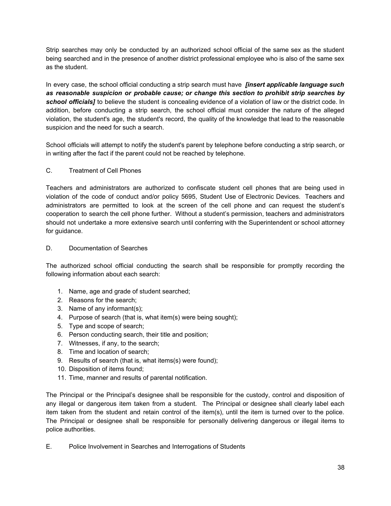Strip searches may only be conducted by an authorized school official of the same sex as the student being searched and in the presence of another district professional employee who is also of the same sex as the student.

In every case, the school official conducting a strip search must have *[insert applicable language such as reasonable suspicion or probable cause; or change this section to prohibit strip searches by school officials]* to believe the student is concealing evidence of a violation of law or the district code. In addition, before conducting a strip search, the school official must consider the nature of the alleged violation, the student's age, the student's record, the quality of the knowledge that lead to the reasonable suspicion and the need for such a search.

School officials will attempt to notify the student's parent by telephone before conducting a strip search, or in writing after the fact if the parent could not be reached by telephone.

# C. Treatment of Cell Phones

Teachers and administrators are authorized to confiscate student cell phones that are being used in violation of the code of conduct and/or policy 5695, Student Use of Electronic Devices. Teachers and administrators are permitted to look at the screen of the cell phone and can request the student's cooperation to search the cell phone further. Without a student's permission, teachers and administrators should not undertake a more extensive search until conferring with the Superintendent or school attorney for guidance.

## D. Documentation of Searches

The authorized school official conducting the search shall be responsible for promptly recording the following information about each search:

- 1. Name, age and grade of student searched;
- 2. Reasons for the search;
- 3. Name of any informant(s);
- 4. Purpose of search (that is, what item(s) were being sought);
- 5. Type and scope of search;
- 6. Person conducting search, their title and position;
- 7. Witnesses, if any, to the search;
- 8. Time and location of search;
- 9. Results of search (that is, what items(s) were found);
- 10. Disposition of items found;
- 11. Time, manner and results of parental notification.

The Principal or the Principal's designee shall be responsible for the custody, control and disposition of any illegal or dangerous item taken from a student. The Principal or designee shall clearly label each item taken from the student and retain control of the item(s), until the item is turned over to the police. The Principal or designee shall be responsible for personally delivering dangerous or illegal items to police authorities.

E. Police Involvement in Searches and Interrogations of Students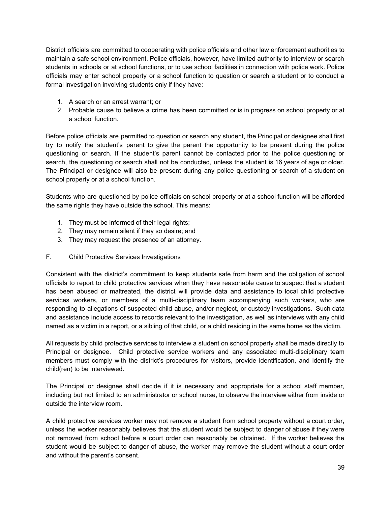District officials are committed to cooperating with police officials and other law enforcement authorities to maintain a safe school environment. Police officials, however, have limited authority to interview or search students in schools or at school functions, or to use school facilities in connection with police work. Police officials may enter school property or a school function to question or search a student or to conduct a formal investigation involving students only if they have:

- 1. A search or an arrest warrant; or
- 2. Probable cause to believe a crime has been committed or is in progress on school property or at a school function.

Before police officials are permitted to question or search any student, the Principal or designee shall first try to notify the student's parent to give the parent the opportunity to be present during the police questioning or search. If the student's parent cannot be contacted prior to the police questioning or search, the questioning or search shall not be conducted, unless the student is 16 years of age or older. The Principal or designee will also be present during any police questioning or search of a student on school property or at a school function.

Students who are questioned by police officials on school property or at a school function will be afforded the same rights they have outside the school. This means:

- 1. They must be informed of their legal rights;
- 2. They may remain silent if they so desire; and
- 3. They may request the presence of an attorney.
- F. Child Protective Services Investigations

Consistent with the district's commitment to keep students safe from harm and the obligation of school officials to report to child protective services when they have reasonable cause to suspect that a student has been abused or maltreated, the district will provide data and assistance to local child protective services workers, or members of a multi-disciplinary team accompanying such workers, who are responding to allegations of suspected child abuse, and/or neglect, or custody investigations. Such data and assistance include access to records relevant to the investigation, as well as interviews with any child named as a victim in a report, or a sibling of that child, or a child residing in the same home as the victim.

All requests by child protective services to interview a student on school property shall be made directly to Principal or designee. Child protective service workers and any associated multi-disciplinary team members must comply with the district's procedures for visitors, provide identification, and identify the child(ren) to be interviewed.

The Principal or designee shall decide if it is necessary and appropriate for a school staff member, including but not limited to an administrator or school nurse, to observe the interview either from inside or outside the interview room.

A child protective services worker may not remove a student from school property without a court order, unless the worker reasonably believes that the student would be subject to danger of abuse if they were not removed from school before a court order can reasonably be obtained. If the worker believes the student would be subject to danger of abuse, the worker may remove the student without a court order and without the parent's consent.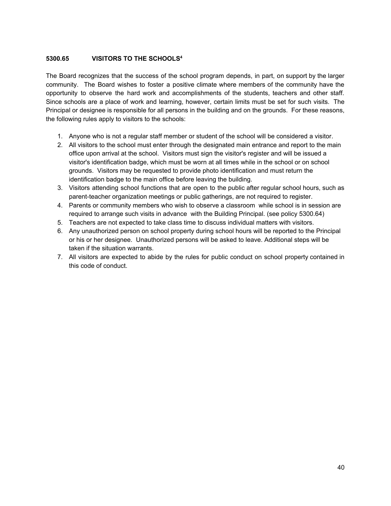# **5300.65 VISITORS TO THE SCHOOLS 4**

The Board recognizes that the success of the school program depends, in part, on support by the larger community. The Board wishes to foster a positive climate where members of the community have the opportunity to observe the hard work and accomplishments of the students, teachers and other staff. Since schools are a place of work and learning, however, certain limits must be set for such visits. The Principal or designee is responsible for all persons in the building and on the grounds. For these reasons, the following rules apply to visitors to the schools:

- 1. Anyone who is not a regular staff member or student of the school will be considered a visitor.
- 2. All visitors to the school must enter through the designated main entrance and report to the main office upon arrival at the school. Visitors must sign the visitor's register and will be issued a visitor's identification badge, which must be worn at all times while in the school or on school grounds. Visitors may be requested to provide photo identification and must return the identification badge to the main office before leaving the building.
- 3. Visitors attending school functions that are open to the public after regular school hours, such as parent-teacher organization meetings or public gatherings, are not required to register.
- 4. Parents or community members who wish to observe a classroom while school is in session are required to arrange such visits in advance with the Building Principal. (see policy 5300.64)
- 5. Teachers are not expected to take class time to discuss individual matters with visitors.
- 6. Any unauthorized person on school property during school hours will be reported to the Principal or his or her designee. Unauthorized persons will be asked to leave. Additional steps will be taken if the situation warrants.
- 7. All visitors are expected to abide by the rules for public conduct on school property contained in this code of conduct.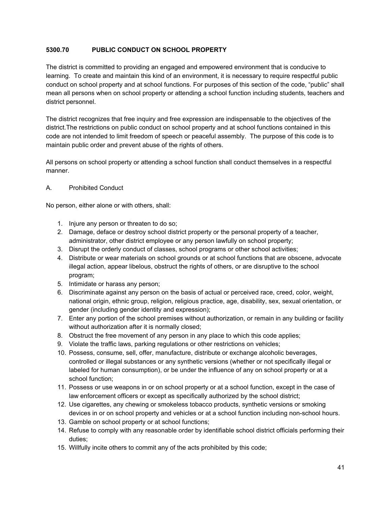# **5300.70 PUBLIC CONDUCT ON SCHOOL PROPERTY**

The district is committed to providing an engaged and empowered environment that is conducive to learning. To create and maintain this kind of an environment, it is necessary to require respectful public conduct on school property and at school functions. For purposes of this section of the code, "public" shall mean all persons when on school property or attending a school function including students, teachers and district personnel.

The district recognizes that free inquiry and free expression are indispensable to the objectives of the district.The restrictions on public conduct on school property and at school functions contained in this code are not intended to limit freedom of speech or peaceful assembly. The purpose of this code is to maintain public order and prevent abuse of the rights of others.

All persons on school property or attending a school function shall conduct themselves in a respectful manner.

# A. Prohibited Conduct

No person, either alone or with others, shall:

- 1. Injure any person or threaten to do so;
- 2. Damage, deface or destroy school district property or the personal property of a teacher, administrator, other district employee or any person lawfully on school property;
- 3. Disrupt the orderly conduct of classes, school programs or other school activities;
- 4. Distribute or wear materials on school grounds or at school functions that are obscene, advocate illegal action, appear libelous, obstruct the rights of others, or are disruptive to the school program;
- 5. Intimidate or harass any person;
- 6. Discriminate against any person on the basis of actual or perceived race, creed, color, weight, national origin, ethnic group, religion, religious practice, age, disability, sex, sexual orientation, or gender (including gender identity and expression);
- 7. Enter any portion of the school premises without authorization, or remain in any building or facility without authorization after it is normally closed;
- 8. Obstruct the free movement of any person in any place to which this code applies;
- 9. Violate the traffic laws, parking regulations or other restrictions on vehicles;
- 10. Possess, consume, sell, offer, manufacture, distribute or exchange alcoholic beverages, controlled or illegal substances or any synthetic versions (whether or not specifically illegal or labeled for human consumption), or be under the influence of any on school property or at a school function;
- 11. Possess or use weapons in or on school property or at a school function, except in the case of law enforcement officers or except as specifically authorized by the school district;
- 12. Use cigarettes, any chewing or smokeless tobacco products, synthetic versions or smoking devices in or on school property and vehicles or at a school function including non-school hours.
- 13. Gamble on school property or at school functions;
- 14. Refuse to comply with any reasonable order by identifiable school district officials performing their duties;
- 15. Willfully incite others to commit any of the acts prohibited by this code;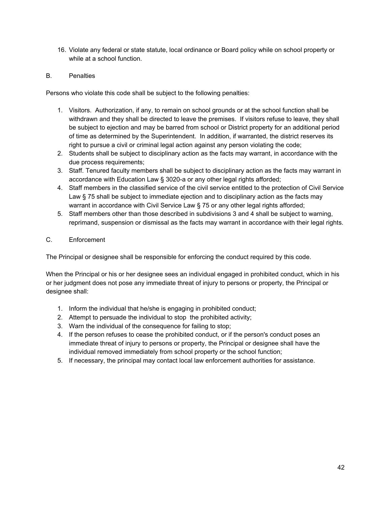16. Violate any federal or state statute, local ordinance or Board policy while on school property or while at a school function.

# B. Penalties

Persons who violate this code shall be subject to the following penalties:

- 1. Visitors. Authorization, if any, to remain on school grounds or at the school function shall be withdrawn and they shall be directed to leave the premises. If visitors refuse to leave, they shall be subject to ejection and may be barred from school or District property for an additional period of time as determined by the Superintendent. In addition, if warranted, the district reserves its right to pursue a civil or criminal legal action against any person violating the code;
- 2. Students shall be subject to disciplinary action as the facts may warrant, in accordance with the due process requirements;
- 3. Staff. Tenured faculty members shall be subject to disciplinary action as the facts may warrant in accordance with Education Law § 3020-a or any other legal rights afforded;
- 4. Staff members in the classified service of the civil service entitled to the protection of Civil Service Law § 75 shall be subject to immediate ejection and to disciplinary action as the facts may warrant in accordance with Civil Service Law § 75 or any other legal rights afforded;
- 5. Staff members other than those described in subdivisions 3 and 4 shall be subject to warning, reprimand, suspension or dismissal as the facts may warrant in accordance with their legal rights.

# C. Enforcement

The Principal or designee shall be responsible for enforcing the conduct required by this code.

When the Principal or his or her designee sees an individual engaged in prohibited conduct, which in his or her judgment does not pose any immediate threat of injury to persons or property, the Principal or designee shall:

- 1. Inform the individual that he/she is engaging in prohibited conduct;
- 2. Attempt to persuade the individual to stop the prohibited activity;
- 3. Warn the individual of the consequence for failing to stop;
- 4. If the person refuses to cease the prohibited conduct, or if the person's conduct poses an immediate threat of injury to persons or property, the Principal or designee shall have the individual removed immediately from school property or the school function;
- 5. If necessary, the principal may contact local law enforcement authorities for assistance.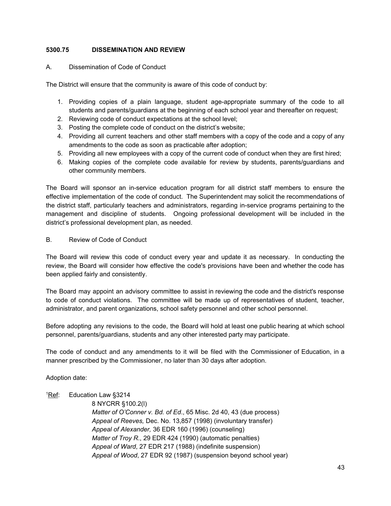## **5300.75 DISSEMINATION AND REVIEW**

# A. Dissemination of Code of Conduct

The District will ensure that the community is aware of this code of conduct by:

- 1. Providing copies of a plain language, student age-appropriate summary of the code to all students and parents/guardians at the beginning of each school year and thereafter on request;
- 2. Reviewing code of conduct expectations at the school level;
- 3. Posting the complete code of conduct on the district's website;
- 4. Providing all current teachers and other staff members with a copy of the code and a copy of any amendments to the code as soon as practicable after adoption;
- 5. Providing all new employees with a copy of the current code of conduct when they are first hired;
- 6. Making copies of the complete code available for review by students, parents/guardians and other community members.

The Board will sponsor an in-service education program for all district staff members to ensure the effective implementation of the code of conduct. The Superintendent may solicit the recommendations of the district staff, particularly teachers and administrators, regarding in-service programs pertaining to the management and discipline of students. Ongoing professional development will be included in the district's professional development plan, as needed.

B. Review of Code of Conduct

The Board will review this code of conduct every year and update it as necessary. In conducting the review, the Board will consider how effective the code's provisions have been and whether the code has been applied fairly and consistently.

The Board may appoint an advisory committee to assist in reviewing the code and the district's response to code of conduct violations. The committee will be made up of representatives of student, teacher, administrator, and parent organizations, school safety personnel and other school personnel.

Before adopting any revisions to the code, the Board will hold at least one public hearing at which school personnel, parents/guardians, students and any other interested party may participate.

The code of conduct and any amendments to it will be filed with the Commissioner of Education, in a manner prescribed by the Commissioner, no later than 30 days after adoption.

Adoption date:

## <sup>1</sup>Ref: Education Law §3214

8 NYCRR §100.2(l)

*Matter of O'Conner v. Bd. of Ed*., 65 Misc. 2d 40, 43 (due process) *Appeal of Reeves,* Dec. No. 13,857 (1998) (involuntary transfer) *Appeal of Alexander,* 36 EDR 160 (1996) (counseling) *Matter of Troy R*., 29 EDR 424 (1990) (automatic penalties) *Appeal of Ward*, 27 EDR 217 (1988) (indefinite suspension) *Appeal of Wood*, 27 EDR 92 (1987) (suspension beyond school year)